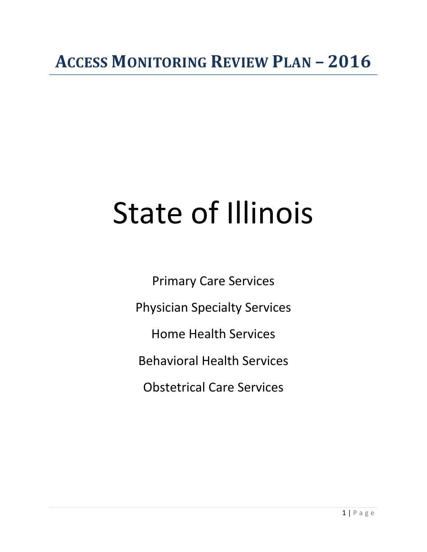## **ACCESS MONITORING REVIEW PLAN – 2016**

# State of Illinois

Primary Care Services Physician Specialty Services Home Health Services Behavioral Health Services Obstetrical Care Services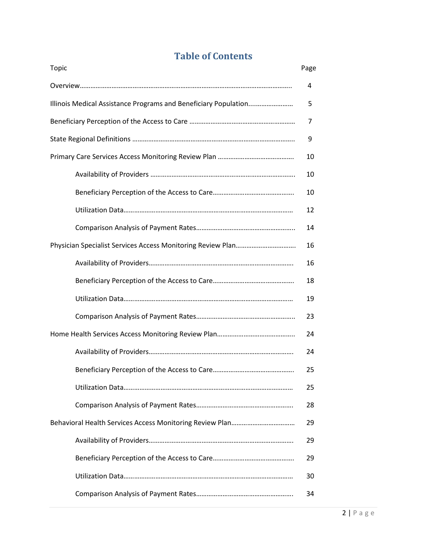## **Table of Contents**

| Topic                                                           | Page |
|-----------------------------------------------------------------|------|
|                                                                 | 4    |
| Illinois Medical Assistance Programs and Beneficiary Population | 5    |
|                                                                 | 7    |
|                                                                 | 9    |
|                                                                 | 10   |
|                                                                 | 10   |
|                                                                 | 10   |
|                                                                 | 12   |
|                                                                 | 14   |
|                                                                 | 16   |
|                                                                 | 16   |
|                                                                 | 18   |
|                                                                 | 19   |
|                                                                 | 23   |
|                                                                 | 24   |
|                                                                 | 24   |
|                                                                 | 25   |
|                                                                 | 25   |
|                                                                 | 28   |
|                                                                 | 29   |
|                                                                 | 29   |
|                                                                 | 29   |
|                                                                 | 30   |
|                                                                 | 34   |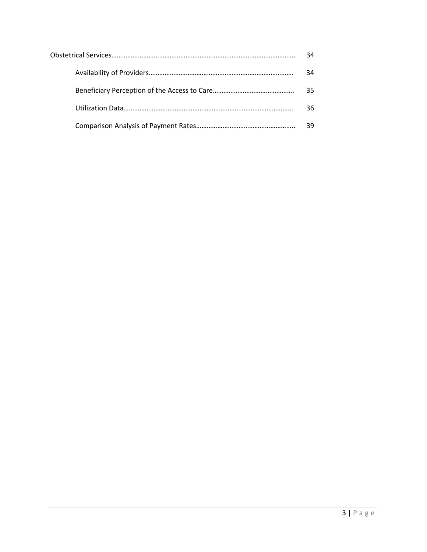| 34 |
|----|
| 34 |
| 35 |
| 36 |
|    |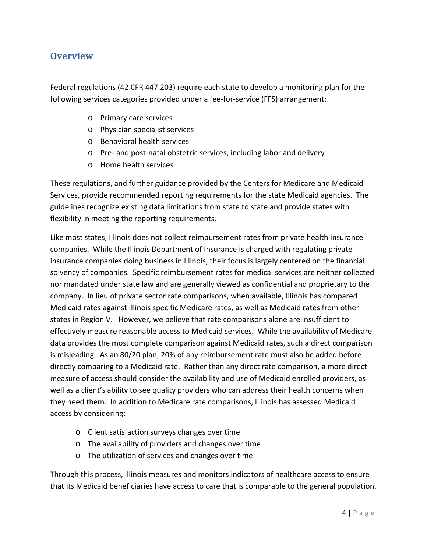## **Overview**

Federal regulations (42 CFR 447.203) require each state to develop a monitoring plan for the following services categories provided under a fee-for-service (FFS) arrangement:

- o Primary care services
- o Physician specialist services
- o Behavioral health services
- o Pre- and post-natal obstetric services, including labor and delivery
- o Home health services

These regulations, and further guidance provided by the Centers for Medicare and Medicaid Services, provide recommended reporting requirements for the state Medicaid agencies. The guidelines recognize existing data limitations from state to state and provide states with flexibility in meeting the reporting requirements.

Like most states, Illinois does not collect reimbursement rates from private health insurance companies. While the Illinois Department of Insurance is charged with regulating private insurance companies doing business in Illinois, their focus is largely centered on the financial solvency of companies. Specific reimbursement rates for medical services are neither collected nor mandated under state law and are generally viewed as confidential and proprietary to the company. In lieu of private sector rate comparisons, when available, Illinois has compared Medicaid rates against Illinois specific Medicare rates, as well as Medicaid rates from other states in Region V. However, we believe that rate comparisons alone are insufficient to effectively measure reasonable access to Medicaid services. While the availability of Medicare data provides the most complete comparison against Medicaid rates, such a direct comparison is misleading. As an 80/20 plan, 20% of any reimbursement rate must also be added before directly comparing to a Medicaid rate. Rather than any direct rate comparison, a more direct measure of access should consider the availability and use of Medicaid enrolled providers, as well as a client's ability to see quality providers who can address their health concerns when they need them. In addition to Medicare rate comparisons, Illinois has assessed Medicaid access by considering:

- o Client satisfaction surveys changes over time
- o The availability of providers and changes over time
- o The utilization of services and changes over time

Through this process, Illinois measures and monitors indicators of healthcare access to ensure that its Medicaid beneficiaries have access to care that is comparable to the general population.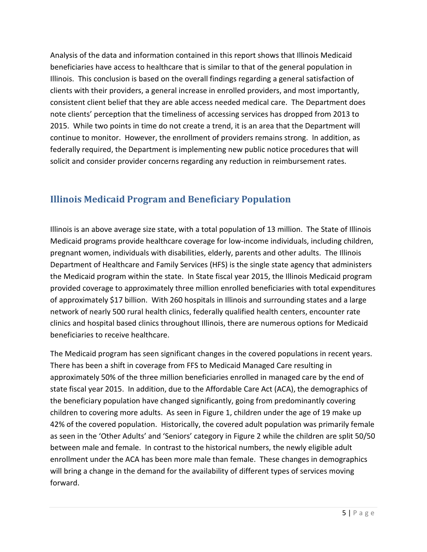Analysis of the data and information contained in this report shows that Illinois Medicaid beneficiaries have access to healthcare that is similar to that of the general population in Illinois. This conclusion is based on the overall findings regarding a general satisfaction of clients with their providers, a general increase in enrolled providers, and most importantly, consistent client belief that they are able access needed medical care. The Department does note clients' perception that the timeliness of accessing services has dropped from 2013 to 2015. While two points in time do not create a trend, it is an area that the Department will continue to monitor. However, the enrollment of providers remains strong. In addition, as federally required, the Department is implementing new public notice procedures that will solicit and consider provider concerns regarding any reduction in reimbursement rates.

## **Illinois Medicaid Program and Beneficiary Population**

Illinois is an above average size state, with a total population of 13 million. The State of Illinois Medicaid programs provide healthcare coverage for low-income individuals, including children, pregnant women, individuals with disabilities, elderly, parents and other adults. The Illinois Department of Healthcare and Family Services (HFS) is the single state agency that administers the Medicaid program within the state. In State fiscal year 2015, the Illinois Medicaid program provided coverage to approximately three million enrolled beneficiaries with total expenditures of approximately \$17 billion. With 260 hospitals in Illinois and surrounding states and a large network of nearly 500 rural health clinics, federally qualified health centers, encounter rate clinics and hospital based clinics throughout Illinois, there are numerous options for Medicaid beneficiaries to receive healthcare.

The Medicaid program has seen significant changes in the covered populations in recent years. There has been a shift in coverage from FFS to Medicaid Managed Care resulting in approximately 50% of the three million beneficiaries enrolled in managed care by the end of state fiscal year 2015. In addition, due to the Affordable Care Act (ACA), the demographics of the beneficiary population have changed significantly, going from predominantly covering children to covering more adults. As seen in Figure 1, children under the age of 19 make up 42% of the covered population. Historically, the covered adult population was primarily female as seen in the 'Other Adults' and 'Seniors' category in Figure 2 while the children are split 50/50 between male and female. In contrast to the historical numbers, the newly eligible adult enrollment under the ACA has been more male than female. These changes in demographics will bring a change in the demand for the availability of different types of services moving forward.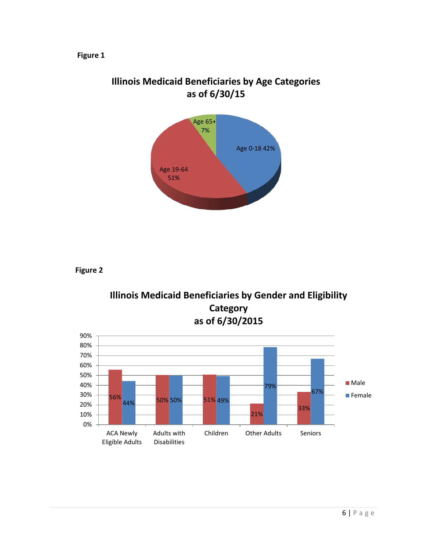#### **Figure 1**



## **Illinois Medicaid Beneficiaries by Age Categories as of 6/30/15**

**Figure 2**



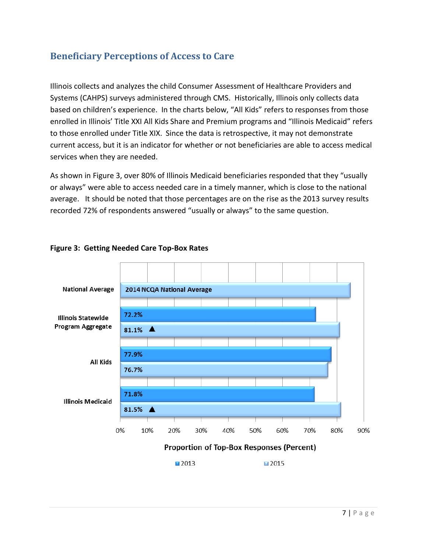## **Beneficiary Perceptions of Access to Care**

Illinois collects and analyzes the child Consumer Assessment of Healthcare Providers and Systems (CAHPS) surveys administered through CMS. Historically, Illinois only collects data based on children's experience. In the charts below, "All Kids" refers to responses from those enrolled in Illinois' Title XXI All Kids Share and Premium programs and "Illinois Medicaid" refers to those enrolled under Title XIX. Since the data is retrospective, it may not demonstrate current access, but it is an indicator for whether or not beneficiaries are able to access medical services when they are needed.

As shown in Figure 3, over 80% of Illinois Medicaid beneficiaries responded that they "usually or always" were able to access needed care in a timely manner, which is close to the national average. It should be noted that those percentages are on the rise as the 2013 survey results recorded 72% of respondents answered "usually or always" to the same question.



#### **Figure 3: Getting Needed Care Top-Box Rates**

■2013

■2015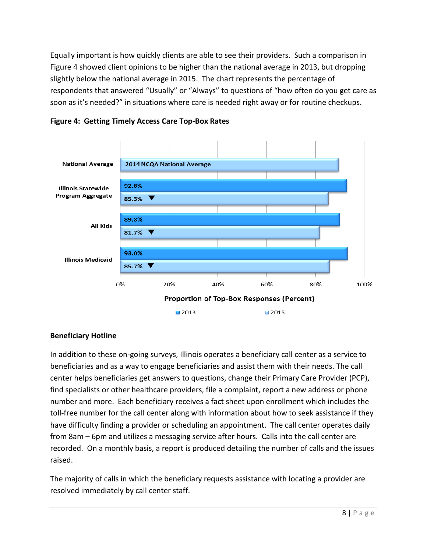Equally important is how quickly clients are able to see their providers. Such a comparison in Figure 4 showed client opinions to be higher than the national average in 2013, but dropping slightly below the national average in 2015. The chart represents the percentage of respondents that answered "Usually" or "Always" to questions of "how often do you get care as soon as it's needed?" in situations where care is needed right away or for routine checkups.



**Figure 4: Getting Timely Access Care Top-Box Rates**

#### **Beneficiary Hotline**

In addition to these on-going surveys, Illinois operates a beneficiary call center as a service to beneficiaries and as a way to engage beneficiaries and assist them with their needs. The call center helps beneficiaries get answers to questions, change their Primary Care Provider (PCP), find specialists or other healthcare providers, file a complaint, report a new address or phone number and more. Each beneficiary receives a fact sheet upon enrollment which includes the toll-free number for the call center along with information about how to seek assistance if they have difficulty finding a provider or scheduling an appointment. The call center operates daily from 8am – 6pm and utilizes a messaging service after hours. Calls into the call center are recorded. On a monthly basis, a report is produced detailing the number of calls and the issues raised.

The majority of calls in which the beneficiary requests assistance with locating a provider are resolved immediately by call center staff.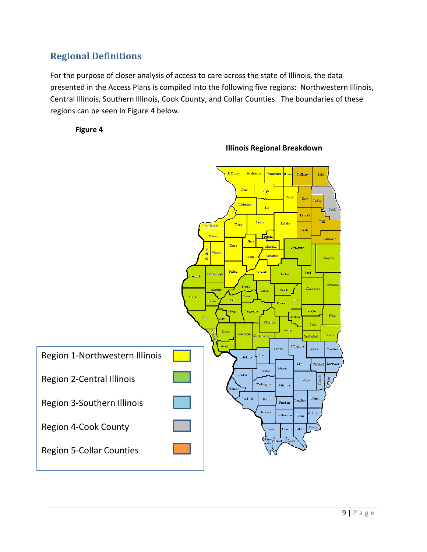## **Regional Definitions**

For the purpose of closer analysis of access to care across the state of Illinois, the data presented in the Access Plans is compiled into the following five regions: Northwestern Illinois, Central Illinois, Southern Illinois, Cook County, and Collar Counties. The boundaries of these regions can be seen in Figure 4 below.

**Figure 4** 



**Illinois Regional Breakdown**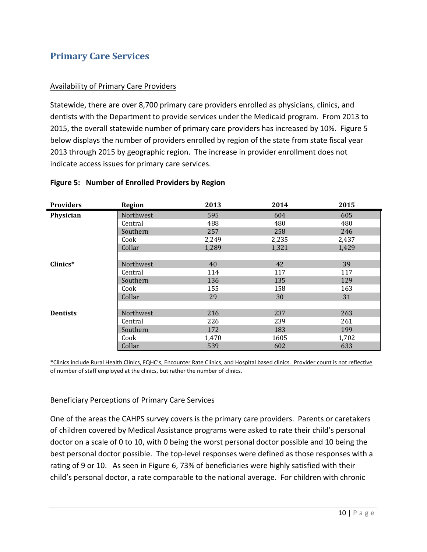## **Primary Care Services**

#### Availability of Primary Care Providers

Statewide, there are over 8,700 primary care providers enrolled as physicians, clinics, and dentists with the Department to provide services under the Medicaid program. From 2013 to 2015, the overall statewide number of primary care providers has increased by 10%. Figure 5 below displays the number of providers enrolled by region of the state from state fiscal year 2013 through 2015 by geographic region. The increase in provider enrollment does not indicate access issues for primary care services.

| <b>Providers</b> | <b>Region</b> | 2013  | 2014  | 2015  |
|------------------|---------------|-------|-------|-------|
| Physician        | Northwest     | 595   | 604   | 605   |
|                  | Central       | 488   | 480   | 480   |
|                  | Southern      | 257   | 258   | 246   |
|                  | Cook          | 2,249 | 2,235 | 2,437 |
|                  | Collar        | 1,289 | 1,321 | 1,429 |
|                  |               |       |       |       |
| Clinics*         | Northwest     | 40    | 42    | 39    |
|                  | Central       | 114   | 117   | 117   |
|                  | Southern      | 136   | 135   | 129   |
|                  | Cook          | 155   | 158   | 163   |
|                  | Collar        | 29    | 30    | 31    |
|                  |               |       |       |       |
| <b>Dentists</b>  | Northwest     | 216   | 237   | 263   |
|                  | Central       | 226   | 239   | 261   |
|                  | Southern      | 172   | 183   | 199   |
|                  | Cook          | 1,470 | 1605  | 1,702 |
|                  | Collar        | 539   | 602   | 633   |

#### **Figure 5: Number of Enrolled Providers by Region**

\*Clinics include Rural Health Clinics, FQHC's, Encounter Rate Clinics, and Hospital based clinics. Provider count is not reflective of number of staff employed at the clinics, but rather the number of clinics.

#### Beneficiary Perceptions of Primary Care Services

One of the areas the CAHPS survey covers is the primary care providers. Parents or caretakers of children covered by Medical Assistance programs were asked to rate their child's personal doctor on a scale of 0 to 10, with 0 being the worst personal doctor possible and 10 being the best personal doctor possible. The top-level responses were defined as those responses with a rating of 9 or 10. As seen in Figure 6, 73% of beneficiaries were highly satisfied with their child's personal doctor, a rate comparable to the national average. For children with chronic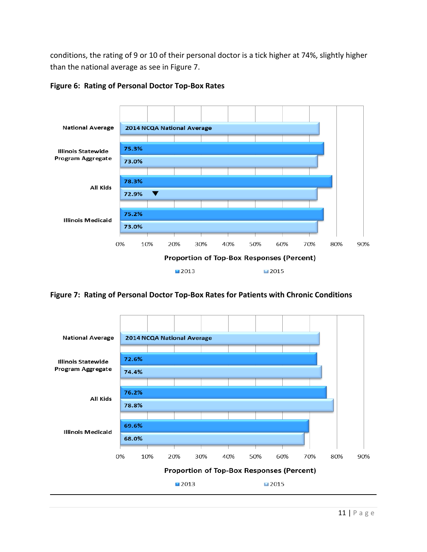conditions, the rating of 9 or 10 of their personal doctor is a tick higher at 74%, slightly higher than the national average as see in Figure 7.



#### **Figure 6: Rating of Personal Doctor Top-Box Rates**

**Figure 7: Rating of Personal Doctor Top-Box Rates for Patients with Chronic Conditions**

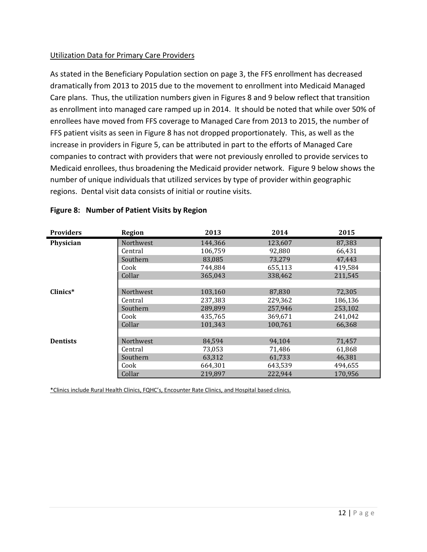#### Utilization Data for Primary Care Providers

As stated in the Beneficiary Population section on page 3, the FFS enrollment has decreased dramatically from 2013 to 2015 due to the movement to enrollment into Medicaid Managed Care plans. Thus, the utilization numbers given in Figures 8 and 9 below reflect that transition as enrollment into managed care ramped up in 2014. It should be noted that while over 50% of enrollees have moved from FFS coverage to Managed Care from 2013 to 2015, the number of FFS patient visits as seen in Figure 8 has not dropped proportionately. This, as well as the increase in providers in Figure 5, can be attributed in part to the efforts of Managed Care companies to contract with providers that were not previously enrolled to provide services to Medicaid enrollees, thus broadening the Medicaid provider network. Figure 9 below shows the number of unique individuals that utilized services by type of provider within geographic regions. Dental visit data consists of initial or routine visits.

| <b>Providers</b> | <b>Region</b>    | 2013    | 2014    | 2015    |
|------------------|------------------|---------|---------|---------|
| Physician        | <b>Northwest</b> | 144,366 | 123,607 | 87,383  |
|                  | Central          | 106,759 | 92,880  | 66,431  |
|                  | Southern         | 83,085  | 73,279  | 47,443  |
|                  | Cook             | 744,884 | 655,113 | 419,584 |
|                  | Collar           | 365,043 | 338,462 | 211,545 |
|                  |                  |         |         |         |
| $Clinics*$       | <b>Northwest</b> | 103,160 | 87,830  | 72,305  |
|                  | Central          | 237,383 | 229,362 | 186,136 |
|                  | Southern         | 289,899 | 257,946 | 253,102 |
|                  | Cook             | 435,765 | 369,671 | 241,042 |
|                  | Collar           | 101,343 | 100,761 | 66,368  |
|                  |                  |         |         |         |
| <b>Dentists</b>  | <b>Northwest</b> | 84,594  | 94,104  | 71,457  |
|                  | Central          | 73,053  | 71,486  | 61,868  |
|                  | Southern         | 63,312  | 61,733  | 46,381  |
|                  | Cook             | 664,301 | 643,539 | 494,655 |
|                  | Collar           | 219,897 | 222,944 | 170,956 |

#### **Figure 8: Number of Patient Visits by Region**

\*Clinics include Rural Health Clinics, FQHC's, Encounter Rate Clinics, and Hospital based clinics.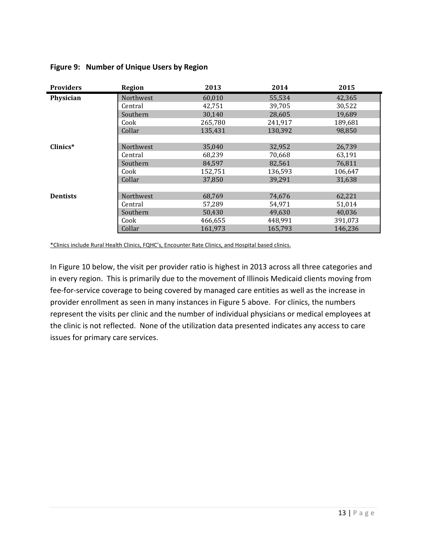| <b>Providers</b> | <b>Region</b>    | 2013    | 2014    | 2015    |
|------------------|------------------|---------|---------|---------|
| Physician        | <b>Northwest</b> | 60,010  | 55,534  | 42,365  |
|                  | Central          | 42,751  | 39,705  | 30,522  |
|                  | Southern         | 30,140  | 28,605  | 19,689  |
|                  | Cook             | 265,780 | 241,917 | 189,681 |
|                  | Collar           | 135,431 | 130,392 | 98,850  |
|                  |                  |         |         |         |
| Clinics*         | <b>Northwest</b> | 35,040  | 32,952  | 26,739  |
|                  | Central          | 68,239  | 70,668  | 63,191  |
|                  | Southern         | 84,597  | 82,561  | 76,811  |
|                  | Cook             | 152,751 | 136,593 | 106,647 |
|                  | Collar           | 37,850  | 39,291  | 31,638  |
|                  |                  |         |         |         |
| <b>Dentists</b>  | Northwest        | 68,769  | 74,676  | 62,221  |
|                  | Central          | 57,289  | 54,971  | 51,014  |
|                  | Southern         | 50,430  | 49,630  | 40,036  |
|                  | Cook             | 466,655 | 448,991 | 391,073 |
|                  | Collar           | 161,973 | 165,793 | 146,236 |

#### **Figure 9: Number of Unique Users by Region**

\*Clinics include Rural Health Clinics, FQHC's, Encounter Rate Clinics, and Hospital based clinics.

In Figure 10 below, the visit per provider ratio is highest in 2013 across all three categories and in every region. This is primarily due to the movement of Illinois Medicaid clients moving from fee-for-service coverage to being covered by managed care entities as well as the increase in provider enrollment as seen in many instances in Figure 5 above. For clinics, the numbers represent the visits per clinic and the number of individual physicians or medical employees at the clinic is not reflected. None of the utilization data presented indicates any access to care issues for primary care services.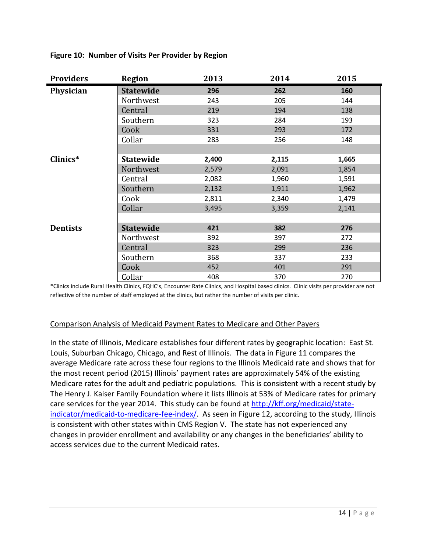| <b>Providers</b> | <b>Region</b>    | 2013  | 2014  | 2015  |
|------------------|------------------|-------|-------|-------|
| Physician        | <b>Statewide</b> | 296   | 262   | 160   |
|                  | Northwest        | 243   | 205   | 144   |
|                  | Central          | 219   | 194   | 138   |
|                  | Southern         | 323   | 284   | 193   |
|                  | Cook             | 331   | 293   | 172   |
|                  | Collar           | 283   | 256   | 148   |
|                  |                  |       |       |       |
| Clinics*         | <b>Statewide</b> | 2,400 | 2,115 | 1,665 |
|                  | Northwest        | 2,579 | 2,091 | 1,854 |
|                  | Central          | 2,082 | 1,960 | 1,591 |
|                  | Southern         | 2,132 | 1,911 | 1,962 |
|                  | Cook             | 2,811 | 2,340 | 1,479 |
|                  | Collar           | 3,495 | 3,359 | 2,141 |
|                  |                  |       |       |       |
| <b>Dentists</b>  | <b>Statewide</b> | 421   | 382   | 276   |
|                  | Northwest        | 392   | 397   | 272   |
|                  | Central          | 323   | 299   | 236   |
|                  | Southern         | 368   | 337   | 233   |
|                  | Cook             | 452   | 401   | 291   |
|                  | Collar           | 408   | 370   | 270   |

**Figure 10: Number of Visits Per Provider by Region**

\*Clinics include Rural Health Clinics, FQHC's, Encounter Rate Clinics, and Hospital based clinics. Clinic visits per provider are not reflective of the number of staff employed at the clinics, but rather the number of visits per clinic.

#### Comparison Analysis of Medicaid Payment Rates to Medicare and Other Payers

In the state of Illinois, Medicare establishes four different rates by geographic location: East St. Louis, Suburban Chicago, Chicago, and Rest of Illinois. The data in Figure 11 compares the average Medicare rate across these four regions to the Illinois Medicaid rate and shows that for the most recent period (2015) Illinois' payment rates are approximately 54% of the existing Medicare rates for the adult and pediatric populations. This is consistent with a recent study by The Henry J. Kaiser Family Foundation where it lists Illinois at 53% of Medicare rates for primary care services for the year 2014. This study can be found a[t http://kff.org/medicaid/state](http://kff.org/medicaid/state-indicator/medicaid-to-medicare-fee-index/)[indicator/medicaid-to-medicare-fee-index/.](http://kff.org/medicaid/state-indicator/medicaid-to-medicare-fee-index/) As seen in Figure 12, according to the study, Illinois is consistent with other states within CMS Region V. The state has not experienced any changes in provider enrollment and availability or any changes in the beneficiaries' ability to access services due to the current Medicaid rates.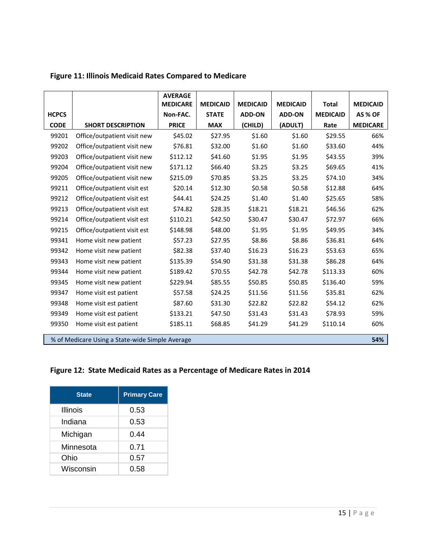|              |                                                 | <b>AVERAGE</b><br><b>MEDICARE</b> | <b>MEDICAID</b> | <b>MEDICAID</b> | <b>MEDICAID</b> | <b>Total</b>    | <b>MEDICAID</b> |
|--------------|-------------------------------------------------|-----------------------------------|-----------------|-----------------|-----------------|-----------------|-----------------|
| <b>HCPCS</b> |                                                 | Non-FAC.                          | <b>STATE</b>    | <b>ADD-ON</b>   | <b>ADD-ON</b>   | <b>MEDICAID</b> | AS % OF         |
| <b>CODE</b>  | <b>SHORT DESCRIPTION</b>                        | <b>PRICE</b>                      | <b>MAX</b>      | (CHILD)         | (ADULT)         | Rate            | <b>MEDICARE</b> |
| 99201        | Office/outpatient visit new                     | \$45.02                           | \$27.95         | \$1.60          | \$1.60          | \$29.55         | 66%             |
| 99202        | Office/outpatient visit new                     | \$76.81                           | \$32.00         | \$1.60          | \$1.60          | \$33.60         | 44%             |
| 99203        | Office/outpatient visit new                     | \$112.12                          | \$41.60         | \$1.95          | \$1.95          | \$43.55         | 39%             |
| 99204        | Office/outpatient visit new                     | \$171.12                          | \$66.40         | \$3.25          | \$3.25          | \$69.65         | 41%             |
| 99205        | Office/outpatient visit new                     | \$215.09                          | \$70.85         | \$3.25          | \$3.25          | \$74.10         | 34%             |
| 99211        | Office/outpatient visit est                     | \$20.14                           | \$12.30         | \$0.58          | \$0.58          | \$12.88         | 64%             |
| 99212        | Office/outpatient visit est                     | \$44.41                           | \$24.25         | \$1.40          | \$1.40          | \$25.65         | 58%             |
| 99213        | Office/outpatient visit est                     | \$74.82                           | \$28.35         | \$18.21         | \$18.21         | \$46.56         | 62%             |
| 99214        | Office/outpatient visit est                     | \$110.21                          | \$42.50         | \$30.47         | \$30.47         | \$72.97         | 66%             |
| 99215        | Office/outpatient visit est                     | \$148.98                          | \$48.00         | \$1.95          | \$1.95          | \$49.95         | 34%             |
| 99341        | Home visit new patient                          | \$57.23                           | \$27.95         | \$8.86          | \$8.86          | \$36.81         | 64%             |
| 99342        | Home visit new patient                          | \$82.38                           | \$37.40         | \$16.23         | \$16.23         | \$53.63         | 65%             |
| 99343        | Home visit new patient                          | \$135.39                          | \$54.90         | \$31.38         | \$31.38         | \$86.28         | 64%             |
| 99344        | Home visit new patient                          | \$189.42                          | \$70.55         | \$42.78         | \$42.78         | \$113.33        | 60%             |
| 99345        | Home visit new patient                          | \$229.94                          | \$85.55         | \$50.85         | \$50.85         | \$136.40        | 59%             |
| 99347        | Home visit est patient                          | \$57.58                           | \$24.25         | \$11.56         | \$11.56         | \$35.81         | 62%             |
| 99348        | Home visit est patient                          | \$87.60                           | \$31.30         | \$22.82         | \$22.82         | \$54.12         | 62%             |
| 99349        | Home visit est patient                          | \$133.21                          | \$47.50         | \$31.43         | \$31.43         | \$78.93         | 59%             |
| 99350        | Home visit est patient                          | \$185.11                          | \$68.85         | \$41.29         | \$41.29         | \$110.14        | 60%             |
|              | % of Medicare Using a State-wide Simple Average |                                   |                 |                 |                 |                 | 54%             |

#### **Figure 11: Illinois Medicaid Rates Compared to Medicare**

#### **Figure 12: State Medicaid Rates as a Percentage of Medicare Rates in 2014**

| <b>State</b>    | <b>Primary Care</b> |
|-----------------|---------------------|
| <b>Illinois</b> | 0.53                |
| Indiana         | 0.53                |
| Michigan        | 0.44                |
| Minnesota       | 0.71                |
| Ohio            | 0.57                |
| Wisconsin       | 0.58                |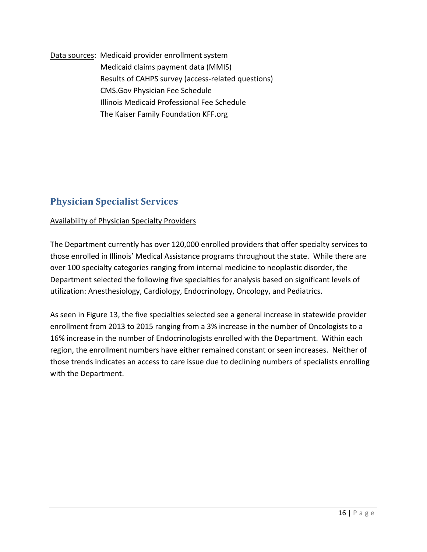Data sources: Medicaid provider enrollment system Medicaid claims payment data (MMIS) Results of CAHPS survey (access-related questions) CMS.Gov Physician Fee Schedule Illinois Medicaid Professional Fee Schedule The Kaiser Family Foundation KFF.org

## **Physician Specialist Services**

#### Availability of Physician Specialty Providers

The Department currently has over 120,000 enrolled providers that offer specialty services to those enrolled in Illinois' Medical Assistance programs throughout the state. While there are over 100 specialty categories ranging from internal medicine to neoplastic disorder, the Department selected the following five specialties for analysis based on significant levels of utilization: Anesthesiology, Cardiology, Endocrinology, Oncology, and Pediatrics.

As seen in Figure 13, the five specialties selected see a general increase in statewide provider enrollment from 2013 to 2015 ranging from a 3% increase in the number of Oncologists to a 16% increase in the number of Endocrinologists enrolled with the Department. Within each region, the enrollment numbers have either remained constant or seen increases. Neither of those trends indicates an access to care issue due to declining numbers of specialists enrolling with the Department.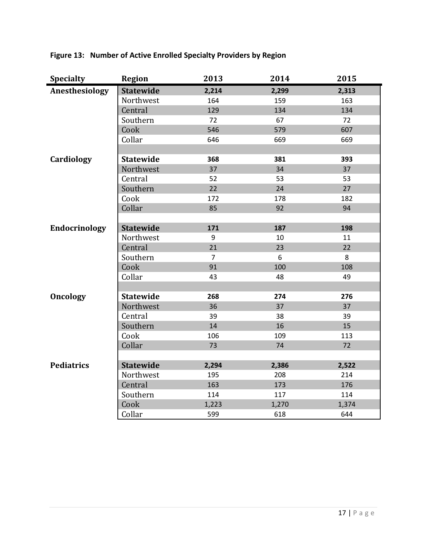| <b>Specialty</b>     | <b>Region</b>    | 2013           | 2014  | 2015  |
|----------------------|------------------|----------------|-------|-------|
| Anesthesiology       | <b>Statewide</b> | 2,214          | 2,299 | 2,313 |
|                      | Northwest        | 164            | 159   | 163   |
|                      | Central          | 129            | 134   | 134   |
|                      | Southern         | 72             | 67    | 72    |
|                      | Cook             | 546            | 579   | 607   |
|                      | Collar           | 646            | 669   | 669   |
|                      |                  |                |       |       |
| Cardiology           | <b>Statewide</b> | 368            | 381   | 393   |
|                      | Northwest        | 37             | 34    | 37    |
|                      | Central          | 52             | 53    | 53    |
|                      | Southern         | 22             | 24    | 27    |
|                      | Cook             | 172            | 178   | 182   |
|                      | Collar           | 85             | 92    | 94    |
|                      |                  |                |       |       |
| <b>Endocrinology</b> | <b>Statewide</b> | 171            | 187   | 198   |
|                      | Northwest        | 9              | 10    | 11    |
|                      | Central          | 21             | 23    | 22    |
|                      | Southern         | $\overline{7}$ | 6     | 8     |
|                      | Cook             | 91             | 100   | 108   |
|                      | Collar           | 43             | 48    | 49    |
|                      |                  |                |       |       |
| <b>Oncology</b>      | <b>Statewide</b> | 268            | 274   | 276   |
|                      | Northwest        | 36             | 37    | 37    |
|                      | Central          | 39             | 38    | 39    |
|                      | Southern         | 14             | 16    | 15    |
|                      | Cook             | 106            | 109   | 113   |
|                      | Collar           | 73             | 74    | 72    |
|                      |                  |                |       |       |
| <b>Pediatrics</b>    | <b>Statewide</b> | 2,294          | 2,386 | 2,522 |
|                      | Northwest        | 195            | 208   | 214   |
|                      | Central          | 163            | 173   | 176   |
|                      | Southern         | 114            | 117   | 114   |
|                      | Cook             | 1,223          | 1,270 | 1,374 |
|                      | Collar           | 599            | 618   | 644   |

**Figure 13: Number of Active Enrolled Specialty Providers by Region**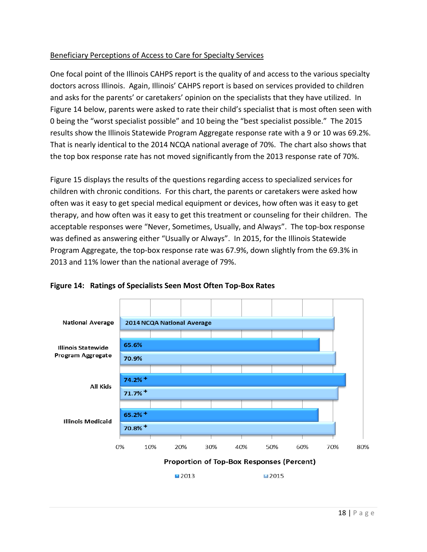#### Beneficiary Perceptions of Access to Care for Specialty Services

One focal point of the Illinois CAHPS report is the quality of and access to the various specialty doctors across Illinois. Again, Illinois' CAHPS report is based on services provided to children and asks for the parents' or caretakers' opinion on the specialists that they have utilized. In Figure 14 below, parents were asked to rate their child's specialist that is most often seen with 0 being the "worst specialist possible" and 10 being the "best specialist possible." The 2015 results show the Illinois Statewide Program Aggregate response rate with a 9 or 10 was 69.2%. That is nearly identical to the 2014 NCQA national average of 70%. The chart also shows that the top box response rate has not moved significantly from the 2013 response rate of 70%.

Figure 15 displays the results of the questions regarding access to specialized services for children with chronic conditions. For this chart, the parents or caretakers were asked how often was it easy to get special medical equipment or devices, how often was it easy to get therapy, and how often was it easy to get this treatment or counseling for their children. The acceptable responses were "Never, Sometimes, Usually, and Always". The top-box response was defined as answering either "Usually or Always". In 2015, for the Illinois Statewide Program Aggregate, the top-box response rate was 67.9%, down slightly from the 69.3% in 2013 and 11% lower than the national average of 79%.



**Figure 14: Ratings of Specialists Seen Most Often Top-Box Rates**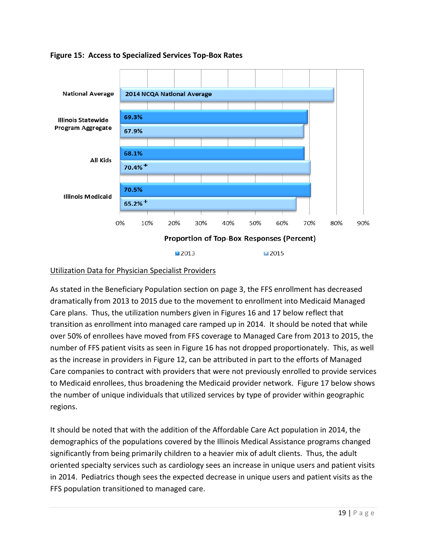

#### **Figure 15: Access to Specialized Services Top-Box Rates**

#### Utilization Data for Physician Specialist Providers

As stated in the Beneficiary Population section on page 3, the FFS enrollment has decreased dramatically from 2013 to 2015 due to the movement to enrollment into Medicaid Managed Care plans. Thus, the utilization numbers given in Figures 16 and 17 below reflect that transition as enrollment into managed care ramped up in 2014. It should be noted that while over 50% of enrollees have moved from FFS coverage to Managed Care from 2013 to 2015, the number of FFS patient visits as seen in Figure 16 has not dropped proportionately. This, as well as the increase in providers in Figure 12, can be attributed in part to the efforts of Managed Care companies to contract with providers that were not previously enrolled to provide services to Medicaid enrollees, thus broadening the Medicaid provider network. Figure 17 below shows the number of unique individuals that utilized services by type of provider within geographic regions.

It should be noted that with the addition of the Affordable Care Act population in 2014, the demographics of the populations covered by the Illinois Medical Assistance programs changed significantly from being primarily children to a heavier mix of adult clients. Thus, the adult oriented specialty services such as cardiology sees an increase in unique users and patient visits in 2014. Pediatrics though sees the expected decrease in unique users and patient visits as the FFS population transitioned to managed care.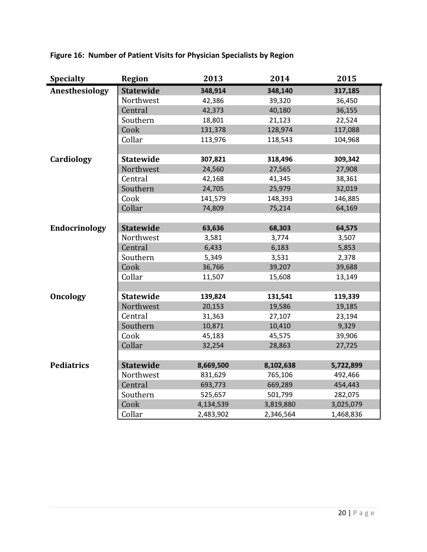| <b>Specialty</b>     | <b>Region</b>    | 2013      | 2014      | 2015      |
|----------------------|------------------|-----------|-----------|-----------|
| Anesthesiology       | <b>Statewide</b> | 348,914   | 348,140   | 317,185   |
|                      | Northwest        | 42,386    | 39,320    | 36,450    |
|                      | Central          | 42,373    | 40,180    | 36,155    |
|                      | Southern         | 18,801    | 21,123    | 22,524    |
|                      | Cook             | 131,378   | 128,974   | 117,088   |
|                      | Collar           | 113,976   | 118,543   | 104,968   |
|                      |                  |           |           |           |
| Cardiology           | <b>Statewide</b> | 307,821   | 318,496   | 309,342   |
|                      | Northwest        | 24,560    | 27,565    | 27,908    |
|                      | Central          | 42,168    | 41,345    | 38,361    |
|                      | Southern         | 24,705    | 25,979    | 32,019    |
|                      | Cook             | 141,579   | 148,393   | 146,885   |
|                      | Collar           | 74,809    | 75,214    | 64,169    |
|                      |                  |           |           |           |
| <b>Endocrinology</b> | <b>Statewide</b> | 63,636    | 68,303    | 64,575    |
|                      | Northwest        | 3,581     | 3,774     | 3,507     |
|                      | Central          | 6,433     | 6,183     | 5,853     |
|                      | Southern         | 5,349     | 3,531     | 2,378     |
|                      | Cook             | 36,766    | 39,207    | 39,688    |
|                      | Collar           | 11,507    | 15,608    | 13,149    |
|                      |                  |           |           |           |
| Oncology             | <b>Statewide</b> | 139,824   | 131,541   | 119,339   |
|                      | Northwest        | 20,153    | 19,586    | 19,185    |
|                      | Central          | 31,363    | 27,107    | 23,194    |
|                      | Southern         | 10,871    | 10,410    | 9,329     |
|                      | Cook             | 45,183    | 45,575    | 39,906    |
|                      | Collar           | 32,254    | 28,863    | 27,725    |
|                      |                  |           |           |           |
| <b>Pediatrics</b>    | <b>Statewide</b> | 8,669,500 | 8,102,638 | 5,722,899 |
|                      | Northwest        | 831,629   | 765,106   | 492,466   |
|                      | Central          | 693,773   | 669,289   | 454,443   |
|                      | Southern         | 525,657   | 501,799   | 282,075   |
|                      | Cook             | 4,134,539 | 3,819,880 | 3,025,079 |
|                      | Collar           | 2,483,902 | 2,346,564 | 1,468,836 |

**Figure 16: Number of Patient Visits for Physician Specialists by Region**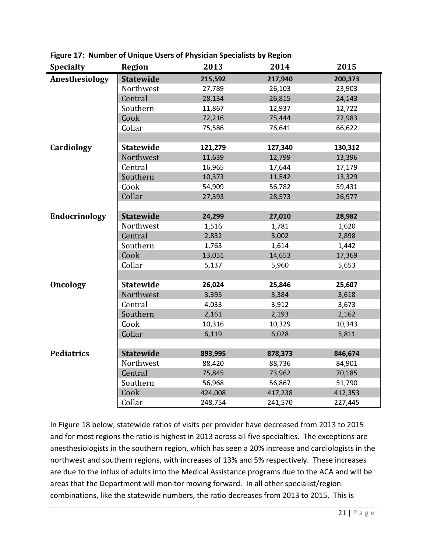| <b>Specialty</b>  | <b>Region</b>    | 2013    | 2014    | 2015    |
|-------------------|------------------|---------|---------|---------|
| Anesthesiology    | <b>Statewide</b> | 215,592 | 217,940 | 200,373 |
|                   | Northwest        | 27,789  | 26,103  | 23,903  |
|                   | Central          | 28,134  | 26,815  | 24,143  |
|                   | Southern         | 11,867  | 12,937  | 12,722  |
|                   | Cook             | 72,216  | 75,444  | 72,983  |
|                   | Collar           | 75,586  | 76,641  | 66,622  |
|                   |                  |         |         |         |
| Cardiology        | <b>Statewide</b> | 121,279 | 127,340 | 130,312 |
|                   | Northwest        | 11,639  | 12,799  | 13,396  |
|                   | Central          | 16,965  | 17,644  | 17,179  |
|                   | Southern         | 10,373  | 11,542  | 13,329  |
|                   | Cook             | 54,909  | 56,782  | 59,431  |
|                   | Collar           | 27,393  | 28,573  | 26,977  |
|                   |                  |         |         |         |
| Endocrinology     | <b>Statewide</b> | 24,299  | 27,010  | 28,982  |
|                   | Northwest        | 1,516   | 1,781   | 1,620   |
|                   | Central          | 2,832   | 3,002   | 2,898   |
|                   | Southern         | 1,763   | 1,614   | 1,442   |
|                   | Cook             | 13,051  | 14,653  | 17,369  |
|                   | Collar           | 5,137   | 5,960   | 5,653   |
|                   |                  |         |         |         |
| <b>Oncology</b>   | <b>Statewide</b> | 26,024  | 25,846  | 25,607  |
|                   | Northwest        | 3,395   | 3,384   | 3,618   |
|                   | Central          | 4,033   | 3,912   | 3,673   |
|                   | Southern         | 2,161   | 2,193   | 2,162   |
|                   | Cook             | 10,316  | 10,329  | 10,343  |
|                   | Collar           | 6,119   | 6,028   | 5,811   |
|                   |                  |         |         |         |
| <b>Pediatrics</b> | <b>Statewide</b> | 893,995 | 878,373 | 846,674 |
|                   | Northwest        | 88,420  | 88,736  | 84,901  |
|                   | Central          | 75,845  | 73,962  | 70,185  |
|                   | Southern         | 56,968  | 56,867  | 51,790  |
|                   | Cook             | 424,008 | 417,238 | 412,353 |
|                   | Collar           | 248,754 | 241,570 | 227,445 |

**Figure 17: Number of Unique Users of Physician Specialists by Region**

In Figure 18 below, statewide ratios of visits per provider have decreased from 2013 to 2015 and for most regions the ratio is highest in 2013 across all five specialties. The exceptions are anesthesiologists in the southern region, which has seen a 20% increase and cardiologists in the northwest and southern regions, with increases of 13% and 5% respectively. These increases are due to the influx of adults into the Medical Assistance programs due to the ACA and will be areas that the Department will monitor moving forward. In all other specialist/region combinations, like the statewide numbers, the ratio decreases from 2013 to 2015. This is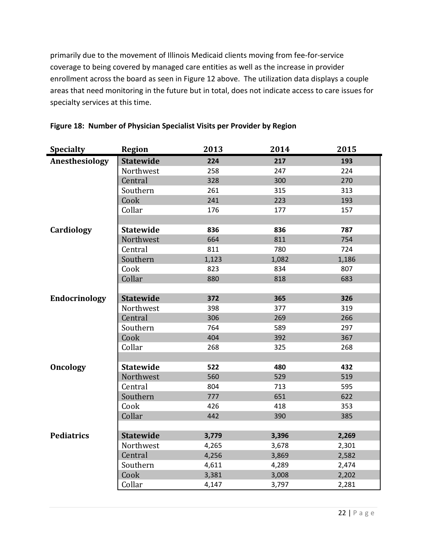primarily due to the movement of Illinois Medicaid clients moving from fee-for-service coverage to being covered by managed care entities as well as the increase in provider enrollment across the board as seen in Figure 12 above. The utilization data displays a couple areas that need monitoring in the future but in total, does not indicate access to care issues for specialty services at this time.

| <b>Specialty</b>  | <b>Region</b>    | 2013  | 2014  | 2015  |
|-------------------|------------------|-------|-------|-------|
| Anesthesiology    | <b>Statewide</b> | 224   | 217   | 193   |
|                   | Northwest        | 258   | 247   | 224   |
|                   | Central          | 328   | 300   | 270   |
|                   | Southern         | 261   | 315   | 313   |
|                   | Cook             | 241   | 223   | 193   |
|                   | Collar           | 176   | 177   | 157   |
|                   |                  |       |       |       |
| Cardiology        | <b>Statewide</b> | 836   | 836   | 787   |
|                   | Northwest        | 664   | 811   | 754   |
|                   | Central          | 811   | 780   | 724   |
|                   | Southern         | 1,123 | 1,082 | 1,186 |
|                   | Cook             | 823   | 834   | 807   |
|                   | Collar           | 880   | 818   | 683   |
|                   |                  |       |       |       |
| Endocrinology     | <b>Statewide</b> | 372   | 365   | 326   |
|                   | Northwest        | 398   | 377   | 319   |
|                   | Central          | 306   | 269   | 266   |
|                   | Southern         | 764   | 589   | 297   |
|                   | Cook             | 404   | 392   | 367   |
|                   | Collar           | 268   | 325   | 268   |
|                   |                  |       |       |       |
| <b>Oncology</b>   | <b>Statewide</b> | 522   | 480   | 432   |
|                   | Northwest        | 560   | 529   | 519   |
|                   | Central          | 804   | 713   | 595   |
|                   | Southern         | 777   | 651   | 622   |
|                   | Cook             | 426   | 418   | 353   |
|                   | Collar           | 442   | 390   | 385   |
|                   |                  |       |       |       |
| <b>Pediatrics</b> | <b>Statewide</b> | 3,779 | 3,396 | 2,269 |
|                   | Northwest        | 4,265 | 3,678 | 2,301 |
|                   | Central          | 4,256 | 3,869 | 2,582 |
|                   | Southern         | 4,611 | 4,289 | 2,474 |
|                   | Cook             | 3,381 | 3,008 | 2,202 |
|                   | Collar           | 4,147 | 3,797 | 2,281 |

#### **Figure 18: Number of Physician Specialist Visits per Provider by Region**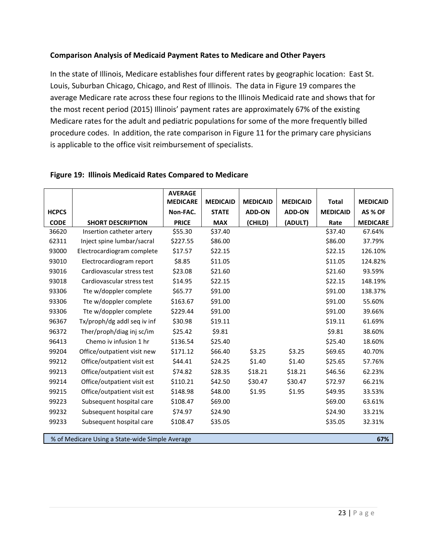#### **Comparison Analysis of Medicaid Payment Rates to Medicare and Other Payers**

In the state of Illinois, Medicare establishes four different rates by geographic location: East St. Louis, Suburban Chicago, Chicago, and Rest of Illinois. The data in Figure 19 compares the average Medicare rate across these four regions to the Illinois Medicaid rate and shows that for the most recent period (2015) Illinois' payment rates are approximately 67% of the existing Medicare rates for the adult and pediatric populations for some of the more frequently billed procedure codes. In addition, the rate comparison in Figure 11 for the primary care physicians is applicable to the office visit reimbursement of specialists.

|              |                                                 | <b>AVERAGE</b>  |                 |                 |                 |                 |                 |
|--------------|-------------------------------------------------|-----------------|-----------------|-----------------|-----------------|-----------------|-----------------|
|              |                                                 | <b>MEDICARE</b> | <b>MEDICAID</b> | <b>MEDICAID</b> | <b>MEDICAID</b> | <b>Total</b>    | <b>MEDICAID</b> |
| <b>HCPCS</b> |                                                 | Non-FAC.        | <b>STATE</b>    | <b>ADD-ON</b>   | <b>ADD-ON</b>   | <b>MEDICAID</b> | AS % OF         |
| <b>CODE</b>  | <b>SHORT DESCRIPTION</b>                        | <b>PRICE</b>    | <b>MAX</b>      | (CHILD)         | (ADULT)         | Rate            | <b>MEDICARE</b> |
| 36620        | Insertion catheter artery                       | \$55.30         | \$37.40         |                 |                 | \$37.40         | 67.64%          |
| 62311        | Inject spine lumbar/sacral                      | \$227.55        | \$86.00         |                 |                 | \$86.00         | 37.79%          |
| 93000        | Electrocardiogram complete                      | \$17.57         | \$22.15         |                 |                 | \$22.15         | 126.10%         |
| 93010        | Electrocardiogram report                        | \$8.85          | \$11.05         |                 |                 | \$11.05         | 124.82%         |
| 93016        | Cardiovascular stress test                      | \$23.08         | \$21.60         |                 |                 | \$21.60         | 93.59%          |
| 93018        | Cardiovascular stress test                      | \$14.95         | \$22.15         |                 |                 | \$22.15         | 148.19%         |
| 93306        | Tte w/doppler complete                          | \$65.77         | \$91.00         |                 |                 | \$91.00         | 138.37%         |
| 93306        | Tte w/doppler complete                          | \$163.67        | \$91.00         |                 |                 | \$91.00         | 55.60%          |
| 93306        | Tte w/doppler complete                          | \$229.44        | \$91.00         |                 |                 | \$91.00         | 39.66%          |
| 96367        | Tx/proph/dg addl seq iv inf                     | \$30.98         | \$19.11         |                 |                 | \$19.11         | 61.69%          |
| 96372        | Ther/proph/diag inj sc/im                       | \$25.42         | \$9.81          |                 |                 | \$9.81          | 38.60%          |
| 96413        | Chemo iv infusion 1 hr                          | \$136.54        | \$25.40         |                 |                 | \$25.40         | 18.60%          |
| 99204        | Office/outpatient visit new                     | \$171.12        | \$66.40         | \$3.25          | \$3.25          | \$69.65         | 40.70%          |
| 99212        | Office/outpatient visit est                     | \$44.41         | \$24.25         | \$1.40          | \$1.40          | \$25.65         | 57.76%          |
| 99213        | Office/outpatient visit est                     | \$74.82         | \$28.35         | \$18.21         | \$18.21         | \$46.56         | 62.23%          |
| 99214        | Office/outpatient visit est                     | \$110.21        | \$42.50         | \$30.47         | \$30.47         | \$72.97         | 66.21%          |
| 99215        | Office/outpatient visit est                     | \$148.98        | \$48.00         | \$1.95          | \$1.95          | \$49.95         | 33.53%          |
| 99223        | Subsequent hospital care                        | \$108.47        | \$69.00         |                 |                 | \$69.00         | 63.61%          |
| 99232        | Subsequent hospital care                        | \$74.97         | \$24.90         |                 |                 | \$24.90         | 33.21%          |
| 99233        | Subsequent hospital care                        | \$108.47        | \$35.05         |                 |                 | \$35.05         | 32.31%          |
|              | % of Medicare Using a State-wide Simple Average |                 |                 |                 |                 |                 | 67%             |

#### **Figure 19: Illinois Medicaid Rates Compared to Medicare**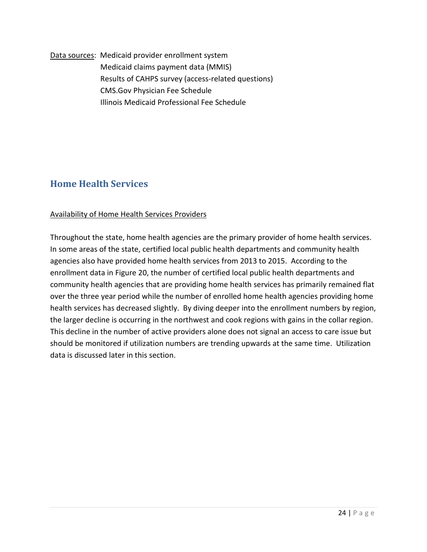Data sources: Medicaid provider enrollment system Medicaid claims payment data (MMIS) Results of CAHPS survey (access-related questions) CMS.Gov Physician Fee Schedule Illinois Medicaid Professional Fee Schedule

## **Home Health Services**

#### Availability of Home Health Services Providers

Throughout the state, home health agencies are the primary provider of home health services. In some areas of the state, certified local public health departments and community health agencies also have provided home health services from 2013 to 2015. According to the enrollment data in Figure 20, the number of certified local public health departments and community health agencies that are providing home health services has primarily remained flat over the three year period while the number of enrolled home health agencies providing home health services has decreased slightly. By diving deeper into the enrollment numbers by region, the larger decline is occurring in the northwest and cook regions with gains in the collar region. This decline in the number of active providers alone does not signal an access to care issue but should be monitored if utilization numbers are trending upwards at the same time. Utilization data is discussed later in this section.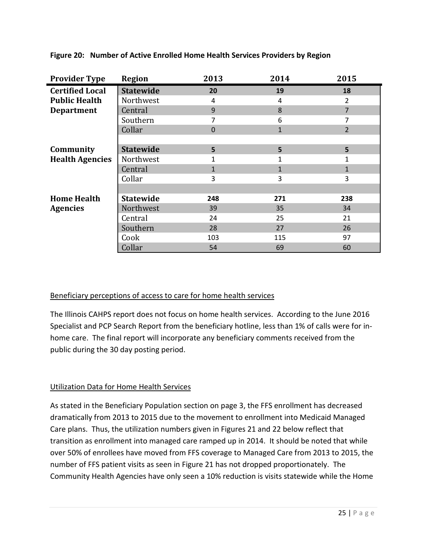| <b>Provider Type</b>   | <b>Region</b>    | 2013     | 2014         | 2015           |
|------------------------|------------------|----------|--------------|----------------|
| <b>Certified Local</b> | <b>Statewide</b> | 20       | 19           | 18             |
| <b>Public Health</b>   | Northwest        | 4        | 4            | 2              |
| <b>Department</b>      | Central          | 9        | 8            | 7              |
|                        | Southern         | 7        | 6            | 7              |
|                        | Collar           | $\Omega$ | $\mathbf{1}$ | $\overline{2}$ |
|                        |                  |          |              |                |
| Community              | <b>Statewide</b> | 5        | 5            | 5              |
| <b>Health Agencies</b> | Northwest        |          | 1            | 1              |
|                        | Central          |          | $\mathbf{1}$ | 1              |
|                        | Collar           | 3        | 3            | 3              |
|                        |                  |          |              |                |
| <b>Home Health</b>     | <b>Statewide</b> | 248      | 271          | 238            |
| <b>Agencies</b>        | Northwest        | 39       | 35           | 34             |
|                        | Central          | 24       | 25           | 21             |
|                        | Southern         | 28       | 27           | 26             |
|                        | Cook             | 103      | 115          | 97             |
|                        | Collar           | 54       | 69           | 60             |

**Figure 20: Number of Active Enrolled Home Health Services Providers by Region**

#### Beneficiary perceptions of access to care for home health services

The Illinois CAHPS report does not focus on home health services. According to the June 2016 Specialist and PCP Search Report from the beneficiary hotline, less than 1% of calls were for inhome care. The final report will incorporate any beneficiary comments received from the public during the 30 day posting period.

#### Utilization Data for Home Health Services

As stated in the Beneficiary Population section on page 3, the FFS enrollment has decreased dramatically from 2013 to 2015 due to the movement to enrollment into Medicaid Managed Care plans. Thus, the utilization numbers given in Figures 21 and 22 below reflect that transition as enrollment into managed care ramped up in 2014. It should be noted that while over 50% of enrollees have moved from FFS coverage to Managed Care from 2013 to 2015, the number of FFS patient visits as seen in Figure 21 has not dropped proportionately. The Community Health Agencies have only seen a 10% reduction is visits statewide while the Home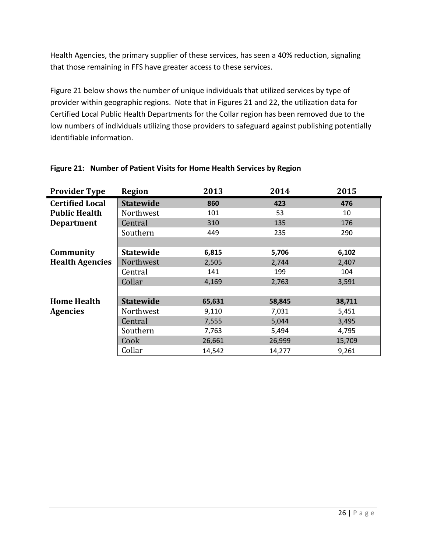Health Agencies, the primary supplier of these services, has seen a 40% reduction, signaling that those remaining in FFS have greater access to these services.

Figure 21 below shows the number of unique individuals that utilized services by type of provider within geographic regions. Note that in Figures 21 and 22, the utilization data for Certified Local Public Health Departments for the Collar region has been removed due to the low numbers of individuals utilizing those providers to safeguard against publishing potentially identifiable information.

| <b>Provider Type</b>   | <b>Region</b>    | 2013   | 2014   | 2015   |
|------------------------|------------------|--------|--------|--------|
| <b>Certified Local</b> | <b>Statewide</b> | 860    | 423    | 476    |
| <b>Public Health</b>   | Northwest        | 101    | 53     | 10     |
| <b>Department</b>      | Central          | 310    | 135    | 176    |
|                        | Southern         | 449    | 235    | 290    |
|                        |                  |        |        |        |
| Community              | <b>Statewide</b> | 6,815  | 5,706  | 6,102  |
| <b>Health Agencies</b> | Northwest        | 2,505  | 2,744  | 2,407  |
|                        | Central          | 141    | 199    | 104    |
|                        | Collar           | 4,169  | 2,763  | 3,591  |
|                        |                  |        |        |        |
| <b>Home Health</b>     | <b>Statewide</b> | 65,631 | 58,845 | 38,711 |
| <b>Agencies</b>        | Northwest        | 9,110  | 7,031  | 5,451  |
|                        | Central          | 7,555  | 5,044  | 3,495  |
|                        | Southern         | 7,763  | 5,494  | 4,795  |
|                        | Cook             | 26,661 | 26,999 | 15,709 |
|                        | Collar           | 14,542 | 14,277 | 9,261  |

#### **Figure 21: Number of Patient Visits for Home Health Services by Region**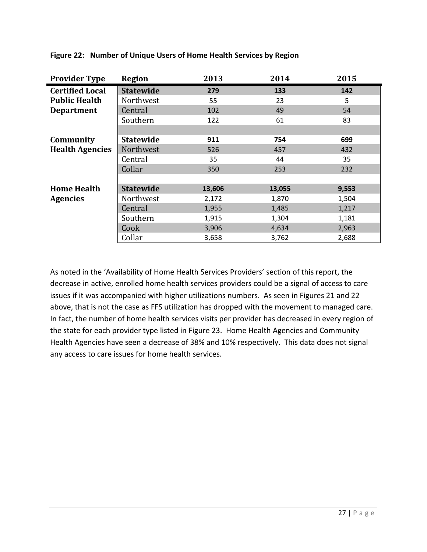| <b>Provider Type</b>   | <b>Region</b>    | 2013   | 2014   | 2015  |
|------------------------|------------------|--------|--------|-------|
| <b>Certified Local</b> | <b>Statewide</b> | 279    | 133    | 142   |
| <b>Public Health</b>   | Northwest        | 55     | 23     | 5     |
| <b>Department</b>      | Central          | 102    | 49     | 54    |
|                        | Southern         | 122    | 61     | 83    |
|                        |                  |        |        |       |
| Community              | <b>Statewide</b> | 911    | 754    | 699   |
| <b>Health Agencies</b> | Northwest        | 526    | 457    | 432   |
|                        | Central          | 35     | 44     | 35    |
|                        | Collar           | 350    | 253    | 232   |
|                        |                  |        |        |       |
| <b>Home Health</b>     | <b>Statewide</b> | 13,606 | 13,055 | 9,553 |
| <b>Agencies</b>        | Northwest        | 2,172  | 1,870  | 1,504 |
|                        | Central          | 1,955  | 1,485  | 1,217 |
|                        | Southern         | 1,915  | 1,304  | 1,181 |
|                        | Cook             | 3,906  | 4,634  | 2,963 |
|                        | Collar           | 3,658  | 3,762  | 2,688 |

**Figure 22: Number of Unique Users of Home Health Services by Region**

As noted in the 'Availability of Home Health Services Providers' section of this report, the decrease in active, enrolled home health services providers could be a signal of access to care issues if it was accompanied with higher utilizations numbers. As seen in Figures 21 and 22 above, that is not the case as FFS utilization has dropped with the movement to managed care. In fact, the number of home health services visits per provider has decreased in every region of the state for each provider type listed in Figure 23. Home Health Agencies and Community Health Agencies have seen a decrease of 38% and 10% respectively. This data does not signal any access to care issues for home health services.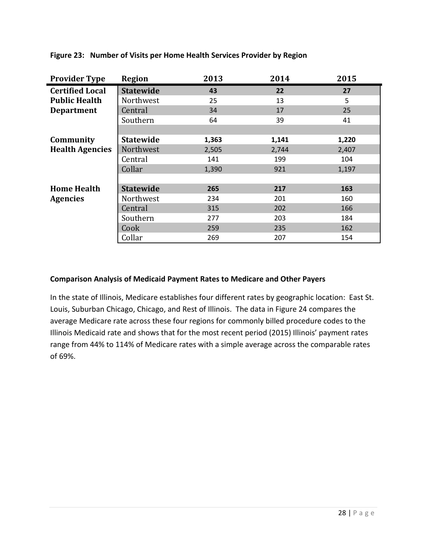| <b>Provider Type</b>   | <b>Region</b>    | 2013  | 2014  | 2015  |
|------------------------|------------------|-------|-------|-------|
| <b>Certified Local</b> | <b>Statewide</b> | 43    | 22    | 27    |
| <b>Public Health</b>   | Northwest        | 25    | 13    | 5     |
| <b>Department</b>      | Central          | 34    | 17    | 25    |
|                        | Southern         | 64    | 39    | 41    |
|                        |                  |       |       |       |
| Community              | <b>Statewide</b> | 1,363 | 1,141 | 1,220 |
| <b>Health Agencies</b> | Northwest        | 2,505 | 2,744 | 2,407 |
|                        | Central          | 141   | 199   | 104   |
|                        | Collar           | 1,390 | 921   | 1,197 |
|                        |                  |       |       |       |
| <b>Home Health</b>     | <b>Statewide</b> | 265   | 217   | 163   |
| <b>Agencies</b>        | Northwest        | 234   | 201   | 160   |
|                        | Central          | 315   | 202   | 166   |
|                        | Southern         | 277   | 203   | 184   |
|                        | Cook             | 259   | 235   | 162   |
|                        | Collar           | 269   | 207   | 154   |

**Figure 23: Number of Visits per Home Health Services Provider by Region**

#### **Comparison Analysis of Medicaid Payment Rates to Medicare and Other Payers**

In the state of Illinois, Medicare establishes four different rates by geographic location: East St. Louis, Suburban Chicago, Chicago, and Rest of Illinois. The data in Figure 24 compares the average Medicare rate across these four regions for commonly billed procedure codes to the Illinois Medicaid rate and shows that for the most recent period (2015) Illinois' payment rates range from 44% to 114% of Medicare rates with a simple average across the comparable rates of 69%.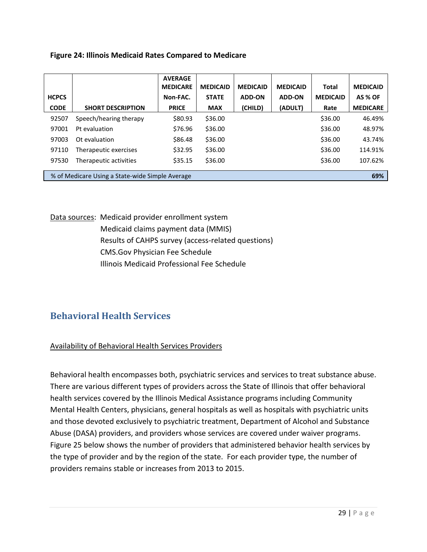|  |  |  |  |  | <b>Figure 24: Illinois Medicaid Rates Compared to Medicare</b> |  |  |
|--|--|--|--|--|----------------------------------------------------------------|--|--|
|--|--|--|--|--|----------------------------------------------------------------|--|--|

|              |                                                 | <b>AVERAGE</b><br><b>MEDICARE</b> | <b>MEDICAID</b> | <b>MEDICAID</b> | <b>MEDICAID</b> | <b>Total</b>    | <b>MEDICAID</b> |
|--------------|-------------------------------------------------|-----------------------------------|-----------------|-----------------|-----------------|-----------------|-----------------|
| <b>HCPCS</b> |                                                 | Non-FAC.                          | <b>STATE</b>    | <b>ADD-ON</b>   | <b>ADD-ON</b>   | <b>MEDICAID</b> | AS % OF         |
| <b>CODE</b>  | <b>SHORT DESCRIPTION</b>                        | <b>PRICE</b>                      | <b>MAX</b>      | (CHILD)         | (ADULT)         | Rate            | <b>MEDICARE</b> |
| 92507        | Speech/hearing therapy                          | \$80.93                           | \$36.00         |                 |                 | \$36.00         | 46.49%          |
| 97001        | Pt evaluation                                   | \$76.96                           | \$36.00         |                 |                 | \$36.00         | 48.97%          |
| 97003        | Ot evaluation                                   | \$86.48                           | \$36.00         |                 |                 | \$36.00         | 43.74%          |
| 97110        | Therapeutic exercises                           | \$32.95                           | \$36.00         |                 |                 | \$36.00         | 114.91%         |
| 97530        | Therapeutic activities                          | \$35.15                           | \$36.00         |                 |                 | \$36.00         | 107.62%         |
|              |                                                 |                                   |                 |                 |                 |                 |                 |
|              | % of Medicare Using a State-wide Simple Average |                                   |                 |                 |                 |                 | 69%             |

Data sources: Medicaid provider enrollment system Medicaid claims payment data (MMIS) Results of CAHPS survey (access-related questions) CMS.Gov Physician Fee Schedule Illinois Medicaid Professional Fee Schedule

## **Behavioral Health Services**

#### Availability of Behavioral Health Services Providers

Behavioral health encompasses both, psychiatric services and services to treat substance abuse. There are various different types of providers across the State of Illinois that offer behavioral health services covered by the Illinois Medical Assistance programs including Community Mental Health Centers, physicians, general hospitals as well as hospitals with psychiatric units and those devoted exclusively to psychiatric treatment, Department of Alcohol and Substance Abuse (DASA) providers, and providers whose services are covered under waiver programs. Figure 25 below shows the number of providers that administered behavior health services by the type of provider and by the region of the state. For each provider type, the number of providers remains stable or increases from 2013 to 2015.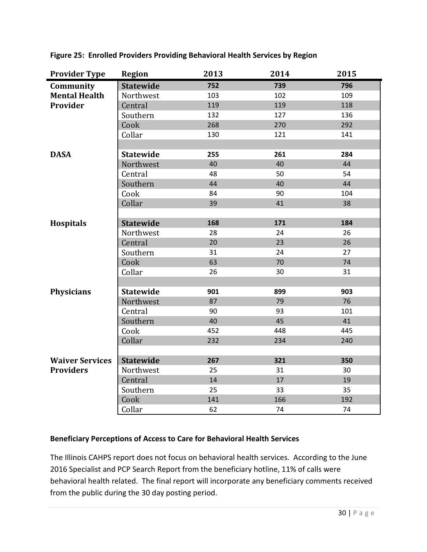| <b>Provider Type</b>   | <b>Region</b>    | 2013 | 2014 | 2015 |
|------------------------|------------------|------|------|------|
| Community              | <b>Statewide</b> | 752  | 739  | 796  |
| <b>Mental Health</b>   | Northwest        | 103  | 102  | 109  |
| Provider               | Central          | 119  | 119  | 118  |
|                        | Southern         | 132  | 127  | 136  |
|                        | Cook             | 268  | 270  | 292  |
|                        | Collar           | 130  | 121  | 141  |
|                        |                  |      |      |      |
| <b>DASA</b>            | <b>Statewide</b> | 255  | 261  | 284  |
|                        | Northwest        | 40   | 40   | 44   |
|                        | Central          | 48   | 50   | 54   |
|                        | Southern         | 44   | 40   | 44   |
|                        | Cook             | 84   | 90   | 104  |
|                        | Collar           | 39   | 41   | 38   |
|                        |                  |      |      |      |
| <b>Hospitals</b>       | <b>Statewide</b> | 168  | 171  | 184  |
|                        | Northwest        | 28   | 24   | 26   |
|                        | Central          | 20   | 23   | 26   |
|                        | Southern         | 31   | 24   | 27   |
|                        | Cook             | 63   | 70   | 74   |
|                        | Collar           | 26   | 30   | 31   |
|                        |                  |      |      |      |
| <b>Physicians</b>      | <b>Statewide</b> | 901  | 899  | 903  |
|                        | Northwest        | 87   | 79   | 76   |
|                        | Central          | 90   | 93   | 101  |
|                        | Southern         | 40   | 45   | 41   |
|                        | Cook             | 452  | 448  | 445  |
|                        | Collar           | 232  | 234  | 240  |
|                        |                  |      |      |      |
| <b>Waiver Services</b> | <b>Statewide</b> | 267  | 321  | 350  |
| <b>Providers</b>       | Northwest        | 25   | 31   | 30   |
|                        | Central          | 14   | 17   | 19   |
|                        | Southern         | 25   | 33   | 35   |
|                        | Cook             | 141  | 166  | 192  |
|                        | Collar           | 62   | 74   | 74   |

**Figure 25: Enrolled Providers Providing Behavioral Health Services by Region**

#### **Beneficiary Perceptions of Access to Care for Behavioral Health Services**

The Illinois CAHPS report does not focus on behavioral health services. According to the June 2016 Specialist and PCP Search Report from the beneficiary hotline, 11% of calls were behavioral health related. The final report will incorporate any beneficiary comments received from the public during the 30 day posting period.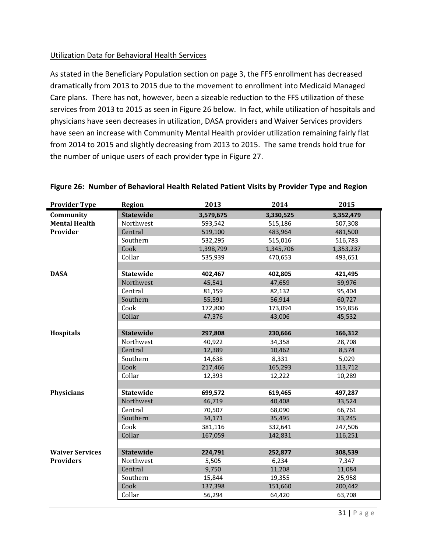#### Utilization Data for Behavioral Health Services

As stated in the Beneficiary Population section on page 3, the FFS enrollment has decreased dramatically from 2013 to 2015 due to the movement to enrollment into Medicaid Managed Care plans. There has not, however, been a sizeable reduction to the FFS utilization of these services from 2013 to 2015 as seen in Figure 26 below. In fact, while utilization of hospitals and physicians have seen decreases in utilization, DASA providers and Waiver Services providers have seen an increase with Community Mental Health provider utilization remaining fairly flat from 2014 to 2015 and slightly decreasing from 2013 to 2015. The same trends hold true for the number of unique users of each provider type in Figure 27.

| <b>Provider Type</b>   | <b>Region</b>    | 2013      | 2014      | 2015      |
|------------------------|------------------|-----------|-----------|-----------|
| Community              | <b>Statewide</b> | 3,579,675 | 3,330,525 | 3,352,479 |
| <b>Mental Health</b>   | Northwest        | 593,542   | 515,186   | 507,308   |
| Provider               | Central          | 519,100   | 483,964   | 481,500   |
|                        | Southern         | 532,295   | 515,016   | 516,783   |
|                        | Cook             | 1,398,799 | 1,345,706 | 1,353,237 |
|                        | Collar           | 535,939   | 470,653   | 493,651   |
|                        |                  |           |           |           |
| <b>DASA</b>            | <b>Statewide</b> | 402,467   | 402,805   | 421,495   |
|                        | Northwest        | 45,541    | 47,659    | 59,976    |
|                        | Central          | 81,159    | 82,132    | 95,404    |
|                        | Southern         | 55,591    | 56,914    | 60,727    |
|                        | Cook             | 172,800   | 173,094   | 159,856   |
|                        | Collar           | 47,376    | 43,006    | 45,532    |
|                        |                  |           |           |           |
| Hospitals              | <b>Statewide</b> | 297,808   | 230,666   | 166,312   |
|                        | Northwest        | 40,922    | 34,358    | 28,708    |
|                        | Central          | 12,389    | 10,462    | 8,574     |
|                        | Southern         | 14,638    | 8,331     | 5,029     |
|                        | Cook             | 217,466   | 165,293   | 113,712   |
|                        | Collar           | 12,393    | 12,222    | 10,289    |
|                        |                  |           |           |           |
| <b>Physicians</b>      | <b>Statewide</b> | 699,572   | 619,465   | 497,287   |
|                        | Northwest        | 46,719    | 40,408    | 33,524    |
|                        | Central          | 70,507    | 68,090    | 66,761    |
|                        | Southern         | 34,171    | 35,495    | 33,245    |
|                        | Cook             | 381,116   | 332,641   | 247,506   |
|                        | Collar           | 167,059   | 142,831   | 116,251   |
|                        |                  |           |           |           |
| <b>Waiver Services</b> | <b>Statewide</b> | 224,791   | 252,877   | 308,539   |
| <b>Providers</b>       | Northwest        | 5,505     | 6,234     | 7,347     |
|                        | Central          | 9,750     | 11,208    | 11,084    |
|                        | Southern         | 15,844    | 19,355    | 25,958    |
|                        | Cook             | 137,398   | 151,660   | 200,442   |
|                        | Collar           | 56,294    | 64,420    | 63,708    |
|                        |                  |           |           |           |

**Figure 26: Number of Behavioral Health Related Patient Visits by Provider Type and Region**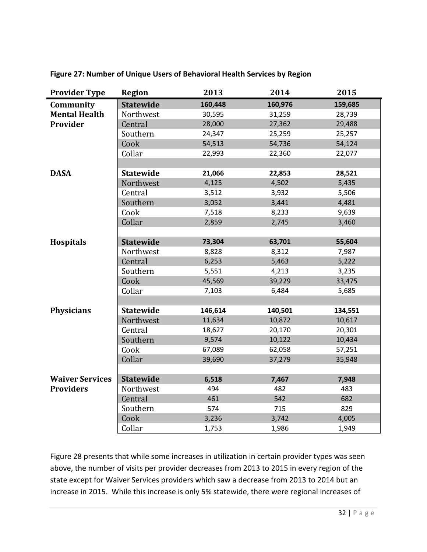| <b>Provider Type</b>   | <b>Region</b>    | 2013    | 2014    | 2015    |
|------------------------|------------------|---------|---------|---------|
| Community              | <b>Statewide</b> | 160,448 | 160,976 | 159,685 |
| <b>Mental Health</b>   | Northwest        | 30,595  | 31,259  | 28,739  |
| Provider               | Central          | 28,000  | 27,362  | 29,488  |
|                        | Southern         | 24,347  | 25,259  | 25,257  |
|                        | Cook             | 54,513  | 54,736  | 54,124  |
|                        | Collar           | 22,993  | 22,360  | 22,077  |
|                        |                  |         |         |         |
| <b>DASA</b>            | <b>Statewide</b> | 21,066  | 22,853  | 28,521  |
|                        | Northwest        | 4,125   | 4,502   | 5,435   |
|                        | Central          | 3,512   | 3,932   | 5,506   |
|                        | Southern         | 3,052   | 3,441   | 4,481   |
|                        | Cook             | 7,518   | 8,233   | 9,639   |
|                        | Collar           | 2,859   | 2,745   | 3,460   |
|                        |                  |         |         |         |
| <b>Hospitals</b>       | <b>Statewide</b> | 73,304  | 63,701  | 55,604  |
|                        | Northwest        | 8,828   | 8,312   | 7,987   |
|                        | Central          | 6,253   | 5,463   | 5,222   |
|                        | Southern         | 5,551   | 4,213   | 3,235   |
|                        | Cook             | 45,569  | 39,229  | 33,475  |
|                        | Collar           | 7,103   | 6,484   | 5,685   |
|                        |                  |         |         |         |
| <b>Physicians</b>      | <b>Statewide</b> | 146,614 | 140,501 | 134,551 |
|                        | Northwest        | 11,634  | 10,872  | 10,617  |
|                        | Central          | 18,627  | 20,170  | 20,301  |
|                        | Southern         | 9,574   | 10,122  | 10,434  |
|                        | Cook             | 67,089  | 62,058  | 57,251  |
|                        | Collar           | 39,690  | 37,279  | 35,948  |
|                        |                  |         |         |         |
| <b>Waiver Services</b> | <b>Statewide</b> | 6,518   | 7,467   | 7,948   |
| <b>Providers</b>       | Northwest        | 494     | 482     | 483     |
|                        | Central          | 461     | 542     | 682     |
|                        | Southern         | 574     | 715     | 829     |
|                        | Cook             | 3,236   | 3,742   | 4,005   |
|                        | Collar           | 1,753   | 1,986   | 1,949   |

**Figure 27: Number of Unique Users of Behavioral Health Services by Region**

Figure 28 presents that while some increases in utilization in certain provider types was seen above, the number of visits per provider decreases from 2013 to 2015 in every region of the state except for Waiver Services providers which saw a decrease from 2013 to 2014 but an increase in 2015. While this increase is only 5% statewide, there were regional increases of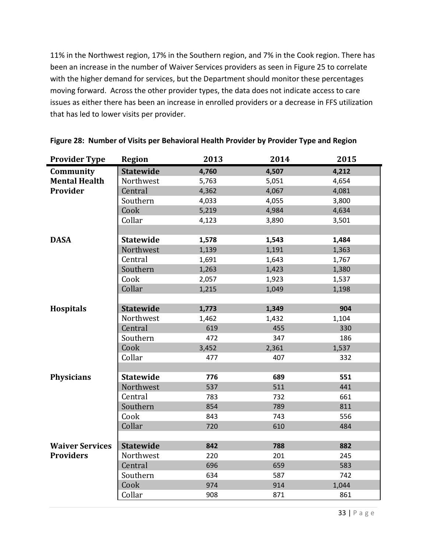11% in the Northwest region, 17% in the Southern region, and 7% in the Cook region. There has been an increase in the number of Waiver Services providers as seen in Figure 25 to correlate with the higher demand for services, but the Department should monitor these percentages moving forward. Across the other provider types, the data does not indicate access to care issues as either there has been an increase in enrolled providers or a decrease in FFS utilization that has led to lower visits per provider.

| <b>Provider Type</b>   | <b>Region</b>    | 2013  | 2014  | 2015  |
|------------------------|------------------|-------|-------|-------|
| Community              | <b>Statewide</b> | 4,760 | 4,507 | 4,212 |
| <b>Mental Health</b>   | Northwest        | 5,763 | 5,051 | 4,654 |
| Provider               | Central          | 4,362 | 4,067 | 4,081 |
|                        | Southern         | 4,033 | 4,055 | 3,800 |
|                        | Cook             | 5,219 | 4,984 | 4,634 |
|                        | Collar           | 4,123 | 3,890 | 3,501 |
|                        |                  |       |       |       |
| <b>DASA</b>            | <b>Statewide</b> | 1,578 | 1,543 | 1,484 |
|                        | Northwest        | 1,139 | 1,191 | 1,363 |
|                        | Central          | 1,691 | 1,643 | 1,767 |
|                        | Southern         | 1,263 | 1,423 | 1,380 |
|                        | Cook             | 2,057 | 1,923 | 1,537 |
|                        | Collar           | 1,215 | 1,049 | 1,198 |
|                        |                  |       |       |       |
| <b>Hospitals</b>       | <b>Statewide</b> | 1,773 | 1,349 | 904   |
|                        | Northwest        | 1,462 | 1,432 | 1,104 |
|                        | Central          | 619   | 455   | 330   |
|                        | Southern         | 472   | 347   | 186   |
|                        | Cook             | 3,452 | 2,361 | 1,537 |
|                        | Collar           | 477   | 407   | 332   |
|                        |                  |       |       |       |
| <b>Physicians</b>      | <b>Statewide</b> | 776   | 689   | 551   |
|                        | Northwest        | 537   | 511   | 441   |
|                        | Central          | 783   | 732   | 661   |
|                        | Southern         | 854   | 789   | 811   |
|                        | Cook             | 843   | 743   | 556   |
|                        | Collar           | 720   | 610   | 484   |
|                        |                  |       |       |       |
| <b>Waiver Services</b> | <b>Statewide</b> | 842   | 788   | 882   |
| <b>Providers</b>       | Northwest        | 220   | 201   | 245   |
|                        | Central          | 696   | 659   | 583   |
|                        | Southern         | 634   | 587   | 742   |
|                        | Cook             | 974   | 914   | 1,044 |
|                        | Collar           | 908   | 871   | 861   |

|  |  |  |  |  |  | Figure 28: Number of Visits per Behavioral Health Provider by Provider Type and Region |
|--|--|--|--|--|--|----------------------------------------------------------------------------------------|
|--|--|--|--|--|--|----------------------------------------------------------------------------------------|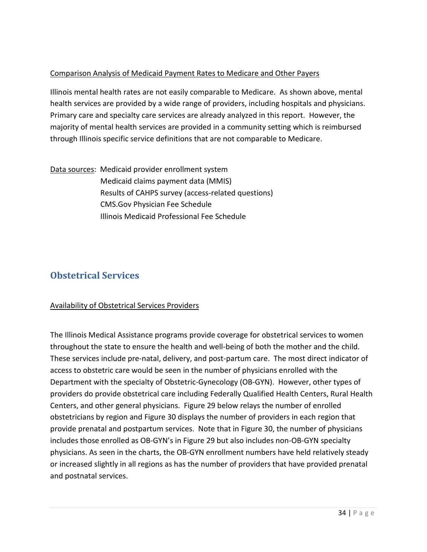#### Comparison Analysis of Medicaid Payment Rates to Medicare and Other Payers

Illinois mental health rates are not easily comparable to Medicare. As shown above, mental health services are provided by a wide range of providers, including hospitals and physicians. Primary care and specialty care services are already analyzed in this report. However, the majority of mental health services are provided in a community setting which is reimbursed through Illinois specific service definitions that are not comparable to Medicare.

Data sources: Medicaid provider enrollment system Medicaid claims payment data (MMIS) Results of CAHPS survey (access-related questions) CMS.Gov Physician Fee Schedule Illinois Medicaid Professional Fee Schedule

## **Obstetrical Services**

#### Availability of Obstetrical Services Providers

The Illinois Medical Assistance programs provide coverage for obstetrical services to women throughout the state to ensure the health and well-being of both the mother and the child. These services include pre-natal, delivery, and post-partum care. The most direct indicator of access to obstetric care would be seen in the number of physicians enrolled with the Department with the specialty of Obstetric-Gynecology (OB-GYN). However, other types of providers do provide obstetrical care including Federally Qualified Health Centers, Rural Health Centers, and other general physicians. Figure 29 below relays the number of enrolled obstetricians by region and Figure 30 displays the number of providers in each region that provide prenatal and postpartum services. Note that in Figure 30, the number of physicians includes those enrolled as OB-GYN's in Figure 29 but also includes non-OB-GYN specialty physicians. As seen in the charts, the OB-GYN enrollment numbers have held relatively steady or increased slightly in all regions as has the number of providers that have provided prenatal and postnatal services.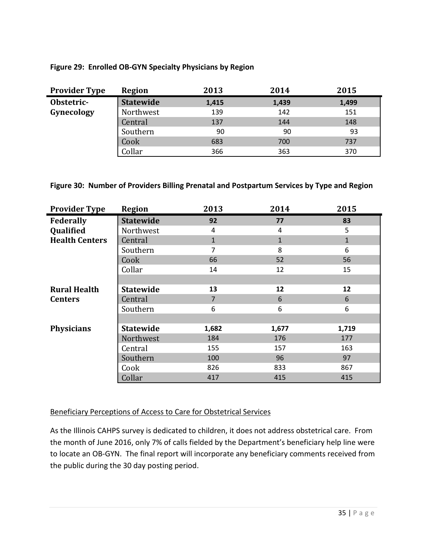#### **Figure 29: Enrolled OB-GYN Specialty Physicians by Region**

| <b>Provider Type</b> | Region           | 2013  | 2014  | 2015  |
|----------------------|------------------|-------|-------|-------|
| Obstetric-           | <b>Statewide</b> | 1,415 | 1,439 | 1,499 |
| Gynecology           | Northwest        | 139   | 142   | 151   |
|                      | Central          | 137   | 144   | 148   |
|                      | Southern         | 90    | 90    | 93    |
|                      | Cook             | 683   | 700   | 737   |
|                      | Collar           | 366   | 363   | 370   |

#### **Figure 30: Number of Providers Billing Prenatal and Postpartum Services by Type and Region**

| <b>Provider Type</b>  | <b>Region</b>    | 2013           | 2014         | 2015         |
|-----------------------|------------------|----------------|--------------|--------------|
| Federally             | <b>Statewide</b> | 92             | 77           | 83           |
| Qualified             | Northwest        | 4              | 4            | 5            |
| <b>Health Centers</b> | Central          | $\mathbf{1}$   | $\mathbf{1}$ | $\mathbf{1}$ |
|                       | Southern         | $\overline{7}$ | 8            | 6            |
|                       | Cook             | 66             | 52           | 56           |
|                       | Collar           | 14             | 12           | 15           |
|                       |                  |                |              |              |
| <b>Rural Health</b>   | <b>Statewide</b> | 13             | 12           | 12           |
| <b>Centers</b>        | Central          | $\overline{7}$ | 6            | 6            |
|                       | Southern         | 6              | 6            | 6            |
|                       |                  |                |              |              |
| <b>Physicians</b>     | <b>Statewide</b> | 1,682          | 1,677        | 1,719        |
|                       | Northwest        | 184            | 176          | 177          |
|                       | Central          | 155            | 157          | 163          |
|                       | Southern         | 100            | 96           | 97           |
|                       | Cook             | 826            | 833          | 867          |
|                       | Collar           | 417            | 415          | 415          |

#### Beneficiary Perceptions of Access to Care for Obstetrical Services

As the Illinois CAHPS survey is dedicated to children, it does not address obstetrical care. From the month of June 2016, only 7% of calls fielded by the Department's beneficiary help line were to locate an OB-GYN. The final report will incorporate any beneficiary comments received from the public during the 30 day posting period.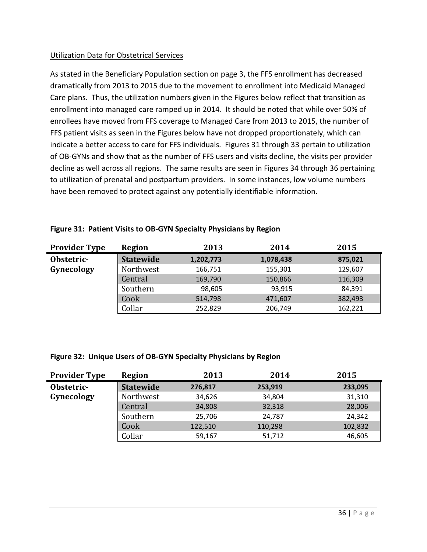#### Utilization Data for Obstetrical Services

As stated in the Beneficiary Population section on page 3, the FFS enrollment has decreased dramatically from 2013 to 2015 due to the movement to enrollment into Medicaid Managed Care plans. Thus, the utilization numbers given in the Figures below reflect that transition as enrollment into managed care ramped up in 2014. It should be noted that while over 50% of enrollees have moved from FFS coverage to Managed Care from 2013 to 2015, the number of FFS patient visits as seen in the Figures below have not dropped proportionately, which can indicate a better access to care for FFS individuals. Figures 31 through 33 pertain to utilization of OB-GYNs and show that as the number of FFS users and visits decline, the visits per provider decline as well across all regions. The same results are seen in Figures 34 through 36 pertaining to utilization of prenatal and postpartum providers. In some instances, low volume numbers have been removed to protect against any potentially identifiable information.

| <b>Provider Type</b> | Region           | 2013      | 2014      | 2015    |
|----------------------|------------------|-----------|-----------|---------|
| Obstetric-           | <b>Statewide</b> | 1,202,773 | 1,078,438 | 875,021 |
| Gynecology           | Northwest        | 166,751   | 155,301   | 129,607 |
|                      | Central          | 169,790   | 150,866   | 116,309 |
|                      | Southern         | 98,605    | 93,915    | 84,391  |
|                      | Cook             | 514,798   | 471,607   | 382,493 |
|                      | Collar           | 252,829   | 206,749   | 162,221 |

#### **Figure 31: Patient Visits to OB-GYN Specialty Physicians by Region**

#### **Figure 32: Unique Users of OB-GYN Specialty Physicians by Region**

| <b>Provider Type</b> | Region           | 2013    | 2014    | 2015    |
|----------------------|------------------|---------|---------|---------|
| Obstetric-           | <b>Statewide</b> | 276,817 | 253,919 | 233,095 |
| Gynecology           | Northwest        | 34,626  | 34,804  | 31,310  |
|                      | Central          | 34,808  | 32,318  | 28,006  |
|                      | Southern         | 25,706  | 24,787  | 24,342  |
|                      | Cook             | 122,510 | 110,298 | 102,832 |
|                      | Collar           | 59,167  | 51,712  | 46,605  |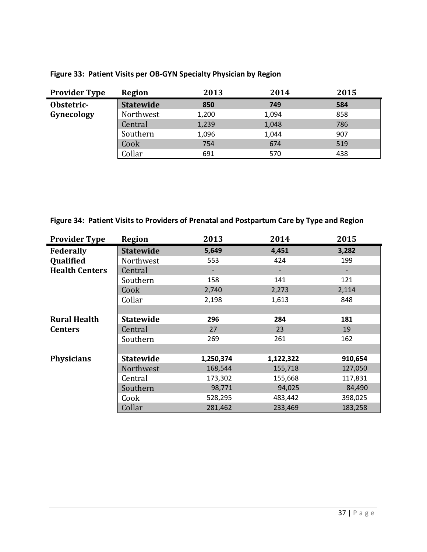| <b>Provider Type</b> | Region           | 2013  | 2014  | 2015 |
|----------------------|------------------|-------|-------|------|
| Obstetric-           | <b>Statewide</b> | 850   | 749   | 584  |
| Gynecology           | Northwest        | 1,200 | 1,094 | 858  |
|                      | Central          | 1,239 | 1,048 | 786  |
|                      | Southern         | 1,096 | 1,044 | 907  |
|                      | Cook             | 754   | 674   | 519  |
|                      | Collar           | 691   | 570   | 438  |

### **Figure 33: Patient Visits per OB-GYN Specialty Physician by Region**

**Figure 34: Patient Visits to Providers of Prenatal and Postpartum Care by Type and Region**

| <b>Provider Type</b>  | <b>Region</b>    | 2013      | 2014      | 2015    |
|-----------------------|------------------|-----------|-----------|---------|
| <b>Federally</b>      | <b>Statewide</b> | 5,649     | 4,451     | 3,282   |
| Qualified             | Northwest        | 553       | 424       | 199     |
| <b>Health Centers</b> | Central          |           |           |         |
|                       | Southern         | 158       | 141       | 121     |
|                       | Cook             | 2,740     | 2,273     | 2,114   |
|                       | Collar           | 2,198     | 1,613     | 848     |
|                       |                  |           |           |         |
| <b>Rural Health</b>   | <b>Statewide</b> | 296       | 284       | 181     |
| <b>Centers</b>        | Central          | 27        | 23        | 19      |
|                       | Southern         | 269       | 261       | 162     |
|                       |                  |           |           |         |
| <b>Physicians</b>     | <b>Statewide</b> | 1,250,374 | 1,122,322 | 910,654 |
|                       | Northwest        | 168,544   | 155,718   | 127,050 |
|                       | Central          | 173,302   | 155,668   | 117,831 |
|                       | Southern         | 98,771    | 94,025    | 84,490  |
|                       | Cook             | 528,295   | 483,442   | 398,025 |
|                       | Collar           | 281,462   | 233,469   | 183,258 |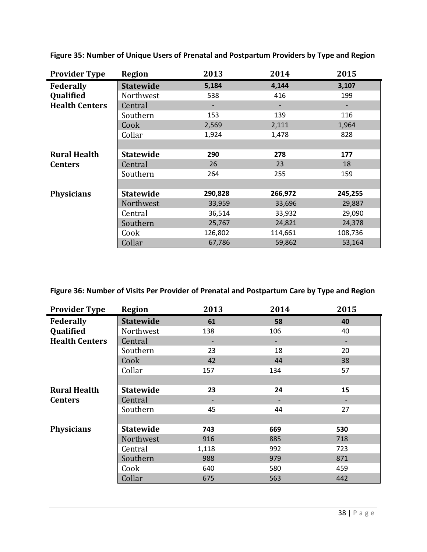| <b>Provider Type</b>  | <b>Region</b>    | 2013    | 2014    | 2015    |
|-----------------------|------------------|---------|---------|---------|
| <b>Federally</b>      | <b>Statewide</b> | 5,184   | 4,144   | 3,107   |
| Qualified             | Northwest        | 538     | 416     | 199     |
| <b>Health Centers</b> | Central          |         |         |         |
|                       | Southern         | 153     | 139     | 116     |
|                       | Cook             | 2,569   | 2,111   | 1,964   |
|                       | Collar           | 1,924   | 1,478   | 828     |
|                       |                  |         |         |         |
| <b>Rural Health</b>   | <b>Statewide</b> | 290     | 278     | 177     |
| <b>Centers</b>        | Central          | 26      | 23      | 18      |
|                       | Southern         | 264     | 255     | 159     |
|                       |                  |         |         |         |
| <b>Physicians</b>     | <b>Statewide</b> | 290,828 | 266,972 | 245,255 |
|                       | Northwest        | 33,959  | 33,696  | 29,887  |
|                       | Central          | 36,514  | 33,932  | 29,090  |
|                       | Southern         | 25,767  | 24,821  | 24,378  |
|                       | Cook             | 126,802 | 114,661 | 108,736 |
|                       | Collar           | 67,786  | 59,862  | 53,164  |

**Figure 35: Number of Unique Users of Prenatal and Postpartum Providers by Type and Region**

**Figure 36: Number of Visits Per Provider of Prenatal and Postpartum Care by Type and Region**

| <b>Provider Type</b>  | <b>Region</b>    | 2013  | 2014 | 2015 |
|-----------------------|------------------|-------|------|------|
| Federally             | <b>Statewide</b> | 61    | 58   | 40   |
| Qualified             | Northwest        | 138   | 106  | 40   |
| <b>Health Centers</b> | Central          |       |      |      |
|                       | Southern         | 23    | 18   | 20   |
|                       | Cook             | 42    | 44   | 38   |
|                       | Collar           | 157   | 134  | 57   |
|                       |                  |       |      |      |
| <b>Rural Health</b>   | <b>Statewide</b> | 23    | 24   | 15   |
| <b>Centers</b>        | Central          |       |      |      |
|                       | Southern         | 45    | 44   | 27   |
|                       |                  |       |      |      |
| <b>Physicians</b>     | <b>Statewide</b> | 743   | 669  | 530  |
|                       | Northwest        | 916   | 885  | 718  |
|                       | Central          | 1,118 | 992  | 723  |
|                       | Southern         | 988   | 979  | 871  |
|                       | Cook             | 640   | 580  | 459  |
|                       | Collar           | 675   | 563  | 442  |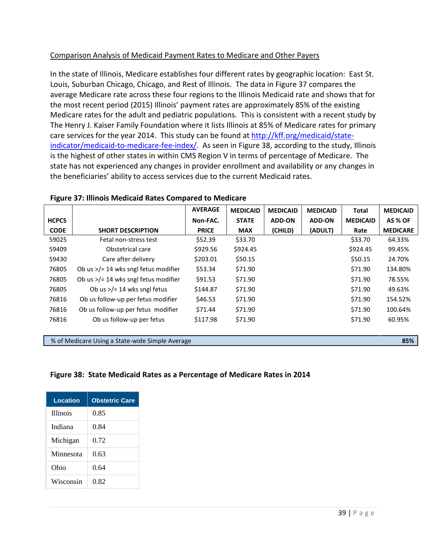#### Comparison Analysis of Medicaid Payment Rates to Medicare and Other Payers

In the state of Illinois, Medicare establishes four different rates by geographic location: East St. Louis, Suburban Chicago, Chicago, and Rest of Illinois. The data in Figure 37 compares the average Medicare rate across these four regions to the Illinois Medicaid rate and shows that for the most recent period (2015) Illinois' payment rates are approximately 85% of the existing Medicare rates for the adult and pediatric populations. This is consistent with a recent study by The Henry J. Kaiser Family Foundation where it lists Illinois at 85% of Medicare rates for primary care services for the year 2014. This study can be found a[t http://kff.org/medicaid/state](http://kff.org/medicaid/state-indicator/medicaid-to-medicare-fee-index/)[indicator/medicaid-to-medicare-fee-index/.](http://kff.org/medicaid/state-indicator/medicaid-to-medicare-fee-index/) As seen in Figure 38, according to the study, Illinois is the highest of other states in within CMS Region V in terms of percentage of Medicare. The state has not experienced any changes in provider enrollment and availability or any changes in the beneficiaries' ability to access services due to the current Medicaid rates.

|              |                                                | <b>AVERAGE</b> | <b>MEDICAID</b> | <b>MEDICAID</b> | <b>MEDICAID</b> | Total           | <b>MEDICAID</b> |
|--------------|------------------------------------------------|----------------|-----------------|-----------------|-----------------|-----------------|-----------------|
| <b>HCPCS</b> |                                                | Non-FAC.       | <b>STATE</b>    | <b>ADD-ON</b>   | <b>ADD-ON</b>   | <b>MEDICAID</b> | AS % OF         |
| <b>CODE</b>  | <b>SHORT DESCRIPTION</b>                       | <b>PRICE</b>   | <b>MAX</b>      | (CHILD)         | (ADULT)         | Rate            | <b>MEDICARE</b> |
| 59025        | Fetal non-stress test                          | \$52.39        | \$33.70         |                 |                 | \$33.70         | 64.33%          |
| 59409        | Obstetrical care                               | \$929.56       | \$924.45        |                 |                 | \$924.45        | 99.45%          |
| 59430        | Care after delivery                            | \$203.01       | \$50.15         |                 |                 | \$50.15         | 24.70%          |
| 76805        | Ob us $\frac{3}{2}$ 14 wks sngl fetus modifier | \$53.34        | \$71.90         |                 |                 | \$71.90         | 134.80%         |
| 76805        | Ob us $\frac{3}{2}$ 14 wks sngl fetus modifier | \$91.53        | \$71.90         |                 |                 | \$71.90         | 78.55%          |
| 76805        | Ob us $\frac{>}{=}$ 14 wks sngl fetus          | \$144.87       | \$71.90         |                 |                 | \$71.90         | 49.63%          |
| 76816        | Ob us follow-up per fetus modifier             | \$46.53        | \$71.90         |                 |                 | \$71.90         | 154.52%         |
| 76816        | Ob us follow-up per fetus modifier             | \$71.44        | \$71.90         |                 |                 | \$71.90         | 100.64%         |
| 76816        | Ob us follow-up per fetus                      | \$117.98       | \$71.90         |                 |                 | \$71.90         | 60.95%          |

#### **Figure 37: Illinois Medicaid Rates Compared to Medicare**

% of Medicare Using a State-wide Simple Average **85%**

#### **Figure 38: State Medicaid Rates as a Percentage of Medicare Rates in 2014**

| <b>Location</b> | <b>Obstetric Care</b> |
|-----------------|-----------------------|
| <b>Illinois</b> | 0.85                  |
| Indiana         | 0.84                  |
| Michigan        | 0.72                  |
| Minnesota       | 0.63                  |
| Ohio            | 0.64                  |
| Wisconsin       | 0.82                  |